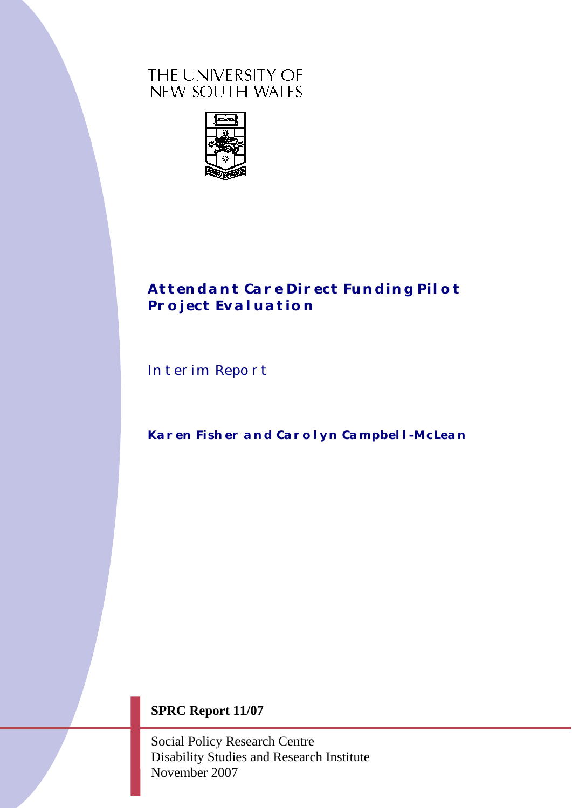# THE UNIVERSITY OF NEW SOUTH WALES



# *Attendant Care Direct Funding Pilot Project Evaluation*

Interim Report

*Karen Fisher and Carolyn Campbell-McLean* 

# **SPRC Report 11/07**

Social Policy Research Centre Disability Studies and Research Institute November 2007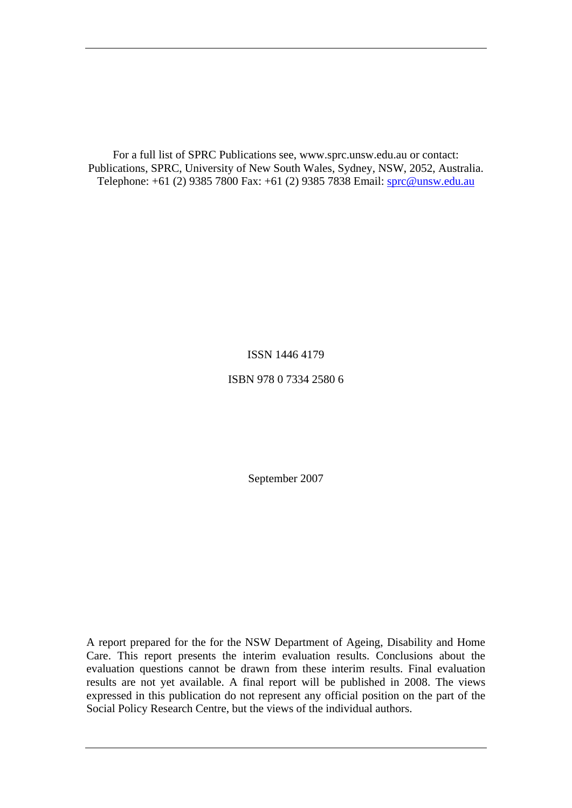For a full list of SPRC Publications see, www.sprc.unsw.edu.au or contact: Publications, SPRC, University of New South Wales, Sydney, NSW, 2052, Australia. Telephone: +61 (2) 9385 7800 Fax: +61 (2) 9385 7838 Email: [sprc@unsw.edu.au](mailto:sprc@unsw.edu.au)

ISSN 1446 4179

ISBN 978 0 7334 2580 6

September 2007

A report prepared for the for the NSW Department of Ageing, Disability and Home Care. This report presents the interim evaluation results. Conclusions about the evaluation questions cannot be drawn from these interim results. Final evaluation results are not yet available. A final report will be published in 2008. The views expressed in this publication do not represent any official position on the part of the Social Policy Research Centre, but the views of the individual authors.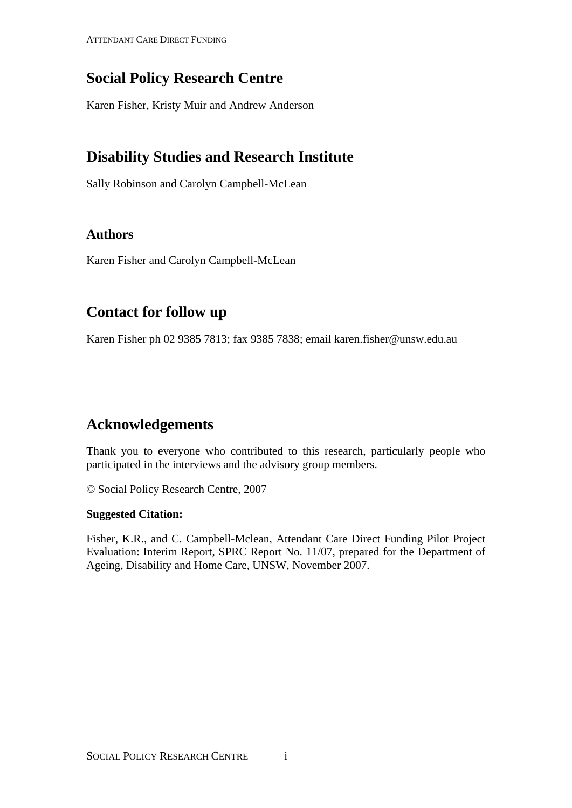# **Social Policy Research Centre**

Karen Fisher, Kristy Muir and Andrew Anderson

# **Disability Studies and Research Institute**

Sally Robinson and Carolyn Campbell-McLean

# **Authors**

Karen Fisher and Carolyn Campbell-McLean

# **Contact for follow up**

Karen Fisher ph 02 9385 7813; fax 9385 7838; email karen.fisher@unsw.edu.au

# **Acknowledgements**

Thank you to everyone who contributed to this research, particularly people who participated in the interviews and the advisory group members.

© Social Policy Research Centre, 2007

## **Suggested Citation:**

Fisher, K.R., and C. Campbell-Mclean, Attendant Care Direct Funding Pilot Project Evaluation: Interim Report, SPRC Report No. 11/07, prepared for the Department of Ageing, Disability and Home Care, UNSW, November 2007.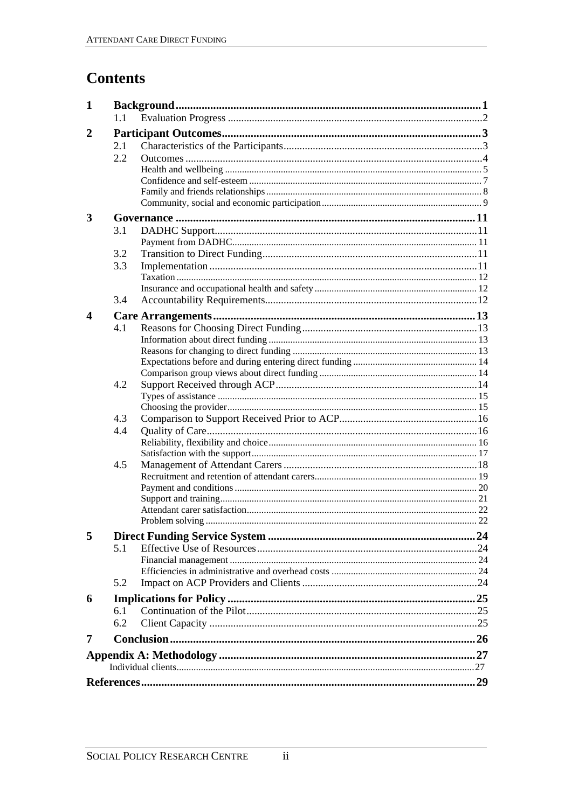# **Contents**

| 1              |     |  |  |  |  |  |  |  |  |
|----------------|-----|--|--|--|--|--|--|--|--|
|                | 1.1 |  |  |  |  |  |  |  |  |
| $\overline{2}$ |     |  |  |  |  |  |  |  |  |
|                | 2.1 |  |  |  |  |  |  |  |  |
|                | 2.2 |  |  |  |  |  |  |  |  |
|                |     |  |  |  |  |  |  |  |  |
|                |     |  |  |  |  |  |  |  |  |
|                |     |  |  |  |  |  |  |  |  |
|                |     |  |  |  |  |  |  |  |  |
| 3              |     |  |  |  |  |  |  |  |  |
|                | 3.1 |  |  |  |  |  |  |  |  |
|                |     |  |  |  |  |  |  |  |  |
|                | 3.2 |  |  |  |  |  |  |  |  |
|                | 3.3 |  |  |  |  |  |  |  |  |
|                |     |  |  |  |  |  |  |  |  |
|                | 3.4 |  |  |  |  |  |  |  |  |
|                |     |  |  |  |  |  |  |  |  |
| 4              |     |  |  |  |  |  |  |  |  |
|                | 4.1 |  |  |  |  |  |  |  |  |
|                |     |  |  |  |  |  |  |  |  |
|                |     |  |  |  |  |  |  |  |  |
|                |     |  |  |  |  |  |  |  |  |
|                | 4.2 |  |  |  |  |  |  |  |  |
|                |     |  |  |  |  |  |  |  |  |
|                |     |  |  |  |  |  |  |  |  |
|                | 4.3 |  |  |  |  |  |  |  |  |
|                | 4.4 |  |  |  |  |  |  |  |  |
|                |     |  |  |  |  |  |  |  |  |
|                |     |  |  |  |  |  |  |  |  |
|                | 4.5 |  |  |  |  |  |  |  |  |
|                |     |  |  |  |  |  |  |  |  |
|                |     |  |  |  |  |  |  |  |  |
|                |     |  |  |  |  |  |  |  |  |
|                |     |  |  |  |  |  |  |  |  |
| 5              |     |  |  |  |  |  |  |  |  |
|                | 5.1 |  |  |  |  |  |  |  |  |
|                |     |  |  |  |  |  |  |  |  |
|                |     |  |  |  |  |  |  |  |  |
|                | 5.2 |  |  |  |  |  |  |  |  |
| 6              |     |  |  |  |  |  |  |  |  |
|                | 6.1 |  |  |  |  |  |  |  |  |
|                | 6.2 |  |  |  |  |  |  |  |  |
|                |     |  |  |  |  |  |  |  |  |
| 7              |     |  |  |  |  |  |  |  |  |
|                |     |  |  |  |  |  |  |  |  |
|                |     |  |  |  |  |  |  |  |  |
|                |     |  |  |  |  |  |  |  |  |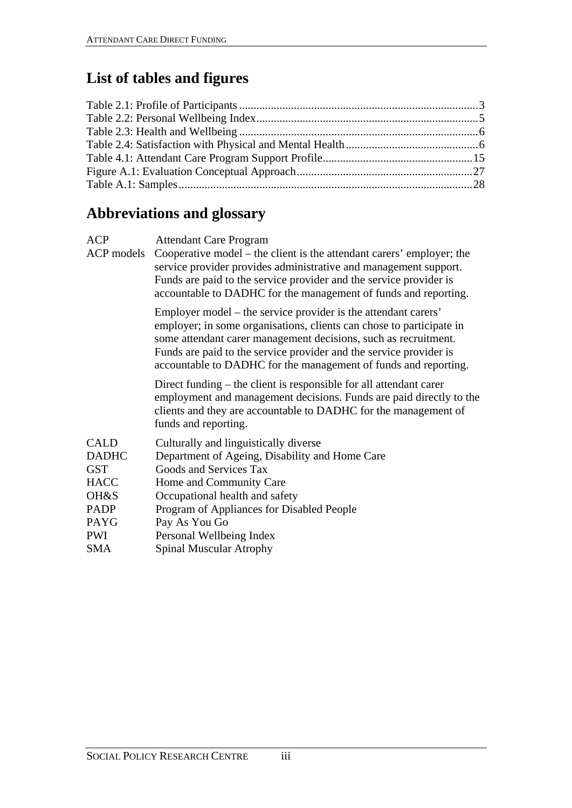# **List of tables and figures**

# **Abbreviations and glossary**

| <b>ACP</b>                                                                                                                 | <b>Attendant Care Program</b><br>ACP models Cooperative model – the client is the attendant carers' employer; the<br>service provider provides administrative and management support.<br>Funds are paid to the service provider and the service provider is<br>accountable to DADHC for the management of funds and reporting.                     |
|----------------------------------------------------------------------------------------------------------------------------|----------------------------------------------------------------------------------------------------------------------------------------------------------------------------------------------------------------------------------------------------------------------------------------------------------------------------------------------------|
|                                                                                                                            | Employer model – the service provider is the attendant carers'<br>employer; in some organisations, clients can chose to participate in<br>some attendant carer management decisions, such as recruitment.<br>Funds are paid to the service provider and the service provider is<br>accountable to DADHC for the management of funds and reporting. |
|                                                                                                                            | Direct funding – the client is responsible for all attendant carer<br>employment and management decisions. Funds are paid directly to the<br>clients and they are accountable to DADHC for the management of<br>funds and reporting.                                                                                                               |
| <b>CALD</b><br><b>DADHC</b><br><b>GST</b><br><b>HACC</b><br>OH&S<br><b>PADP</b><br><b>PAYG</b><br><b>PWI</b><br><b>SMA</b> | Culturally and linguistically diverse<br>Department of Ageing, Disability and Home Care<br>Goods and Services Tax<br>Home and Community Care<br>Occupational health and safety<br>Program of Appliances for Disabled People<br>Pay As You Go<br>Personal Wellbeing Index<br><b>Spinal Muscular Atrophy</b>                                         |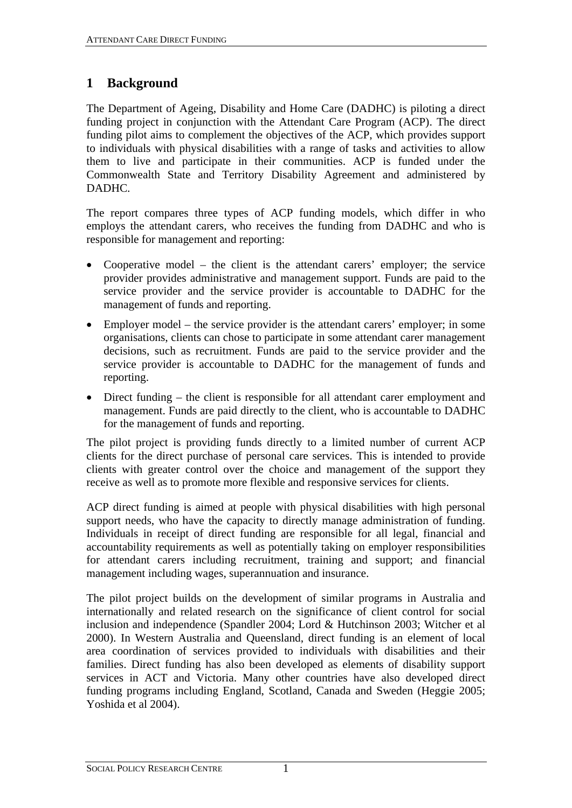# <span id="page-5-0"></span>**1 Background**

The Department of Ageing, Disability and Home Care (DADHC) is piloting a direct funding project in conjunction with the Attendant Care Program (ACP). The direct funding pilot aims to complement the objectives of the ACP, which provides support to individuals with physical disabilities with a range of tasks and activities to allow them to live and participate in their communities. ACP is funded under the Commonwealth State and Territory Disability Agreement and administered by DADHC.

The report compares three types of ACP funding models, which differ in who employs the attendant carers, who receives the funding from DADHC and who is responsible for management and reporting:

- Cooperative model the client is the attendant carers' employer; the service provider provides administrative and management support. Funds are paid to the service provider and the service provider is accountable to DADHC for the management of funds and reporting.
- Employer model the service provider is the attendant carers' employer; in some organisations, clients can chose to participate in some attendant carer management decisions, such as recruitment. Funds are paid to the service provider and the service provider is accountable to DADHC for the management of funds and reporting.
- Direct funding the client is responsible for all attendant carer employment and management. Funds are paid directly to the client, who is accountable to DADHC for the management of funds and reporting.

The pilot project is providing funds directly to a limited number of current ACP clients for the direct purchase of personal care services. This is intended to provide clients with greater control over the choice and management of the support they receive as well as to promote more flexible and responsive services for clients.

ACP direct funding is aimed at people with physical disabilities with high personal support needs, who have the capacity to directly manage administration of funding. Individuals in receipt of direct funding are responsible for all legal, financial and accountability requirements as well as potentially taking on employer responsibilities for attendant carers including recruitment, training and support; and financial management including wages, superannuation and insurance.

The pilot project builds on the development of similar programs in Australia and internationally and related research on the significance of client control for social inclusion and independence (Spandler 2004; Lord & Hutchinson 2003; Witcher et al 2000). In Western Australia and Queensland, direct funding is an element of local area coordination of services provided to individuals with disabilities and their families. Direct funding has also been developed as elements of disability support services in ACT and Victoria. Many other countries have also developed direct funding programs including England, Scotland, Canada and Sweden (Heggie 2005; Yoshida et al 2004).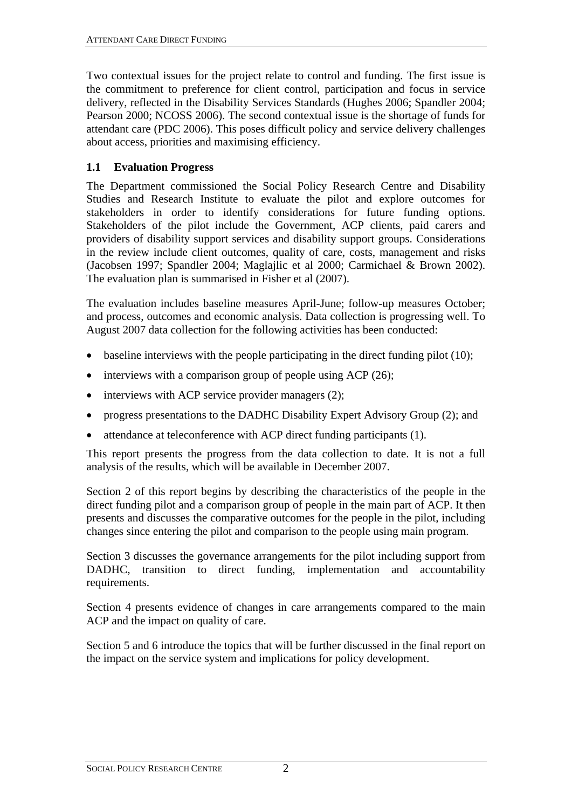<span id="page-6-0"></span>Two contextual issues for the project relate to control and funding. The first issue is the commitment to preference for client control, participation and focus in service delivery, reflected in the Disability Services Standards (Hughes 2006; Spandler 2004; Pearson 2000; NCOSS 2006). The second contextual issue is the shortage of funds for attendant care (PDC 2006). This poses difficult policy and service delivery challenges about access, priorities and maximising efficiency.

#### **1.1 Evaluation Progress**

The Department commissioned the Social Policy Research Centre and Disability Studies and Research Institute to evaluate the pilot and explore outcomes for stakeholders in order to identify considerations for future funding options. Stakeholders of the pilot include the Government, ACP clients, paid carers and providers of disability support services and disability support groups. Considerations in the review include client outcomes, quality of care, costs, management and risks (Jacobsen 1997; Spandler 2004; Maglajlic et al 2000; Carmichael & Brown 2002). The evaluation plan is summarised in Fisher et al (2007).

The evaluation includes baseline measures April-June; follow-up measures October; and process, outcomes and economic analysis. Data collection is progressing well. To August 2007 data collection for the following activities has been conducted:

- $\bullet$  baseline interviews with the people participating in the direct funding pilot (10);
- interviews with a comparison group of people using ACP (26);
- interviews with ACP service provider managers (2);
- progress presentations to the DADHC Disability Expert Advisory Group (2); and
- attendance at teleconference with ACP direct funding participants (1).

This report presents the progress from the data collection to date. It is not a full analysis of the results, which will be available in December 2007.

Section 2 of this report begins by describing the characteristics of the people in the direct funding pilot and a comparison group of people in the main part of ACP. It then presents and discusses the comparative outcomes for the people in the pilot, including changes since entering the pilot and comparison to the people using main program.

Section 3 discusses the governance arrangements for the pilot including support from DADHC, transition to direct funding, implementation and accountability requirements.

Section 4 presents evidence of changes in care arrangements compared to the main ACP and the impact on quality of care.

Section 5 and 6 introduce the topics that will be further discussed in the final report on the impact on the service system and implications for policy development.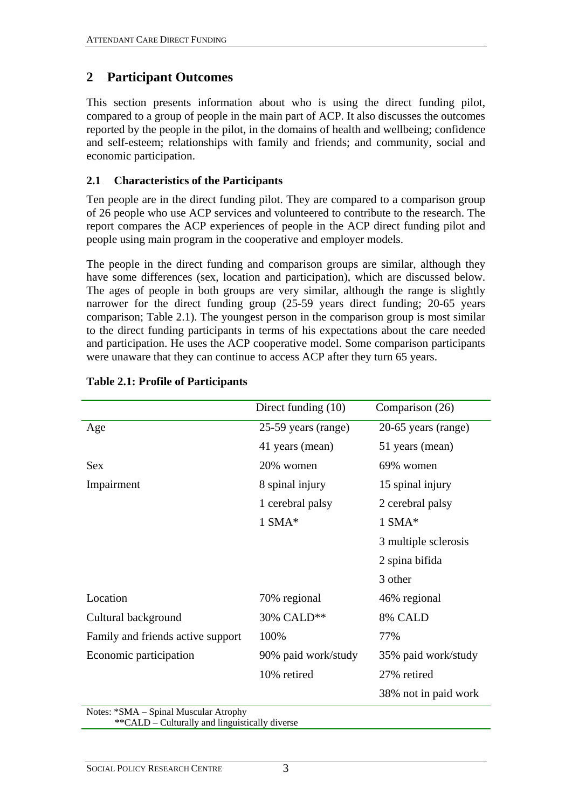# <span id="page-7-0"></span>**2 Participant Outcomes**

This section presents information about who is using the direct funding pilot, compared to a group of people in the main part of ACP. It also discusses the outcomes reported by the people in the pilot, in the domains of health and wellbeing; confidence and self-esteem; relationships with family and friends; and community, social and economic participation.

## **2.1 Characteristics of the Participants**

Ten people are in the direct funding pilot. They are compared to a comparison group of 26 people who use ACP services and volunteered to contribute to the research. The report compares the ACP experiences of people in the ACP direct funding pilot and people using main program in the cooperative and employer models.

The people in the direct funding and comparison groups are similar, although they have some differences (sex, location and participation), which are discussed below. The ages of people in both groups are very similar, although the range is slightly narrower for the direct funding group (25-59 years direct funding; 20-65 years comparison; [Table 2.1](#page-7-1)). The youngest person in the comparison group is most similar to the direct funding participants in terms of his expectations about the care needed and participation. He uses the ACP cooperative model. Some comparison participants were unaware that they can continue to access ACP after they turn 65 years.

<span id="page-7-1"></span>

|                                       | Direct funding (10) | Comparison (26)      |
|---------------------------------------|---------------------|----------------------|
| Age                                   | 25-59 years (range) | 20-65 years (range)  |
|                                       | 41 years (mean)     | 51 years (mean)      |
| <b>Sex</b>                            | 20% women           | 69% women            |
| Impairment                            | 8 spinal injury     | 15 spinal injury     |
|                                       | 1 cerebral palsy    | 2 cerebral palsy     |
|                                       | $1$ SMA*            | $1$ SMA*             |
|                                       |                     | 3 multiple sclerosis |
|                                       |                     | 2 spina bifida       |
|                                       |                     | 3 other              |
| Location                              | 70% regional        | 46% regional         |
| Cultural background                   | 30% CALD**          | 8% CALD              |
| Family and friends active support     | 100%                | 77%                  |
| Economic participation                | 90% paid work/study | 35% paid work/study  |
|                                       | 10% retired         | 27% retired          |
|                                       |                     | 38% not in paid work |
| Notes: *SMA - Spinal Muscular Atrophy |                     |                      |

## **Table 2.1: Profile of Participants**

\*\*CALD – Culturally and linguistically diverse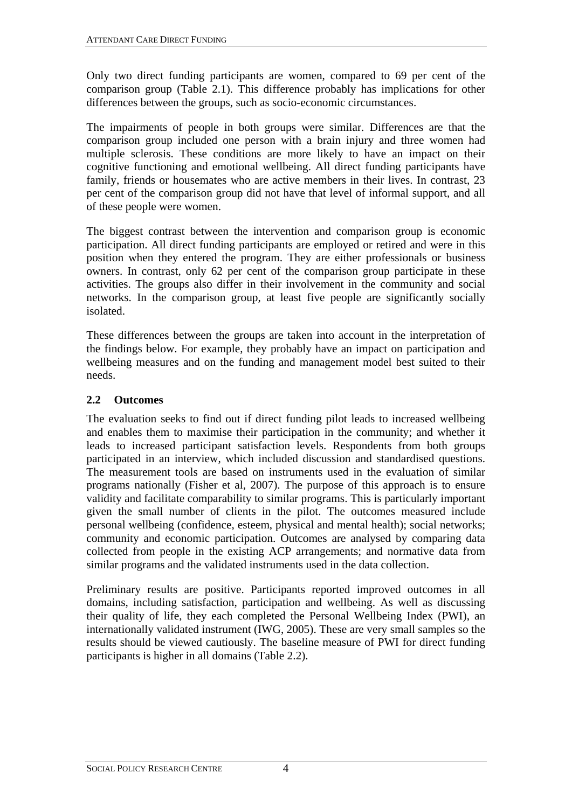<span id="page-8-0"></span>Only two direct funding participants are women, compared to 69 per cent of the comparison group [\(Table 2.1\)](#page-7-1). This difference probably has implications for other differences between the groups, such as socio-economic circumstances.

The impairments of people in both groups were similar. Differences are that the comparison group included one person with a brain injury and three women had multiple sclerosis. These conditions are more likely to have an impact on their cognitive functioning and emotional wellbeing. All direct funding participants have family, friends or housemates who are active members in their lives. In contrast, 23 per cent of the comparison group did not have that level of informal support, and all of these people were women.

The biggest contrast between the intervention and comparison group is economic participation. All direct funding participants are employed or retired and were in this position when they entered the program. They are either professionals or business owners. In contrast, only 62 per cent of the comparison group participate in these activities. The groups also differ in their involvement in the community and social networks. In the comparison group, at least five people are significantly socially isolated.

These differences between the groups are taken into account in the interpretation of the findings below. For example, they probably have an impact on participation and wellbeing measures and on the funding and management model best suited to their needs.

## **2.2 Outcomes**

The evaluation seeks to find out if direct funding pilot leads to increased wellbeing and enables them to maximise their participation in the community; and whether it leads to increased participant satisfaction levels. Respondents from both groups participated in an interview, which included discussion and standardised questions. The measurement tools are based on instruments used in the evaluation of similar programs nationally (Fisher et al, 2007). The purpose of this approach is to ensure validity and facilitate comparability to similar programs. This is particularly important given the small number of clients in the pilot. The outcomes measured include personal wellbeing (confidence, esteem, physical and mental health); social networks; community and economic participation. Outcomes are analysed by comparing data collected from people in the existing ACP arrangements; and normative data from similar programs and the validated instruments used in the data collection.

Preliminary results are positive. Participants reported improved outcomes in all domains, including satisfaction, participation and wellbeing. As well as discussing their quality of life, they each completed the Personal Wellbeing Index (PWI), an internationally validated instrument (IWG, 2005). These are very small samples so the results should be viewed cautiously. The baseline measure of PWI for direct funding participants is higher in all domains ([Table 2.2\)](#page-9-1).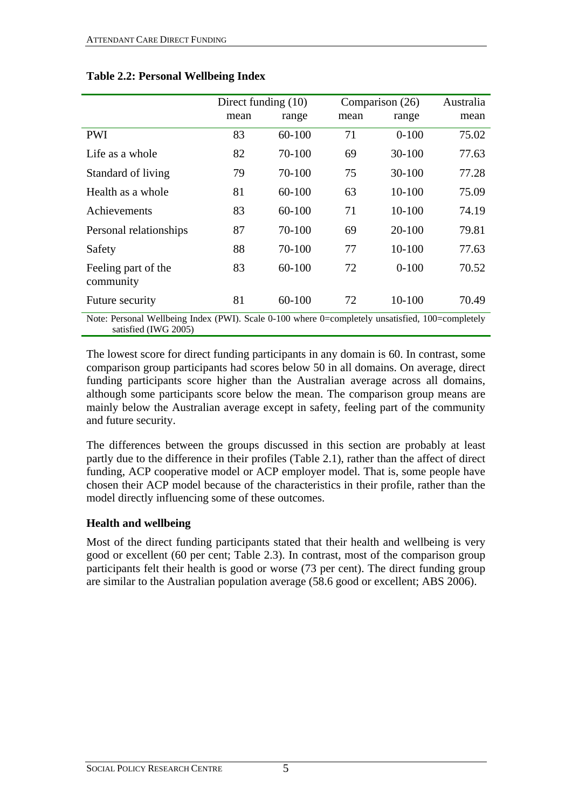<span id="page-9-1"></span>

|                                                                                                                          | Direct funding $(10)$ |            |      | Comparison (26) | Australia |  |
|--------------------------------------------------------------------------------------------------------------------------|-----------------------|------------|------|-----------------|-----------|--|
|                                                                                                                          | mean                  | range      | mean | range           | mean      |  |
| <b>PWI</b>                                                                                                               | 83                    | $60 - 100$ | 71   | $0 - 100$       | 75.02     |  |
| Life as a whole                                                                                                          | 82                    | 70-100     | 69   | 30-100          | 77.63     |  |
| Standard of living                                                                                                       | 79                    | 70-100     | 75   | $30 - 100$      | 77.28     |  |
| Health as a whole                                                                                                        | 81                    | $60 - 100$ | 63   | $10-100$        | 75.09     |  |
| Achievements                                                                                                             | 83                    | $60 - 100$ | 71   | 10-100          | 74.19     |  |
| Personal relationships                                                                                                   | 87                    | 70-100     | 69   | $20 - 100$      | 79.81     |  |
| Safety                                                                                                                   | 88                    | 70-100     | 77   | $10-100$        | 77.63     |  |
| Feeling part of the<br>community                                                                                         | 83                    | 60-100     | 72   | $0 - 100$       | 70.52     |  |
| Future security                                                                                                          | 81                    | $60 - 100$ | 72   | 10-100          | 70.49     |  |
| Note: Personal Wellbeing Index (PWI). Scale 0-100 where 0=completely unsatisfied, 100=completely<br>satisfied (IWG 2005) |                       |            |      |                 |           |  |

#### <span id="page-9-0"></span>**Table 2.2: Personal Wellbeing Index**

The lowest score for direct funding participants in any domain is 60. In contrast, some comparison group participants had scores below 50 in all domains. On average, direct funding participants score higher than the Australian average across all domains,

although some participants score below the mean. The comparison group means are mainly below the Australian average except in safety, feeling part of the community and future security.

The differences between the groups discussed in this section are probably at least partly due to the difference in their profiles ([Table 2.1](#page-7-1)), rather than the affect of direct funding, ACP cooperative model or ACP employer model. That is, some people have chosen their ACP model because of the characteristics in their profile, rather than the model directly influencing some of these outcomes.

## **Health and wellbeing**

Most of the direct funding participants stated that their health and wellbeing is very good or excellent (60 per cent; [Table 2.3\)](#page-10-1). In contrast, most of the comparison group participants felt their health is good or worse (73 per cent). The direct funding group are similar to the Australian population average (58.6 good or excellent; ABS 2006).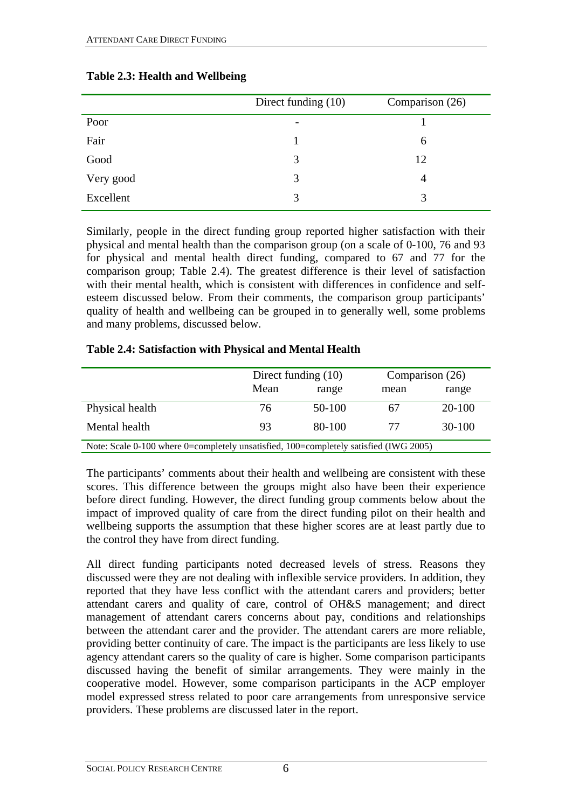<span id="page-10-1"></span>

|           | Direct funding (10)      | Comparison (26) |
|-----------|--------------------------|-----------------|
| Poor      | $\overline{\phantom{a}}$ |                 |
| Fair      |                          | 6               |
| Good      | 3                        | 12              |
| Very good | 3                        | 4               |
| Excellent | 3                        | 3               |

## <span id="page-10-0"></span>**Table 2.3: Health and Wellbeing**

Similarly, people in the direct funding group reported higher satisfaction with their physical and mental health than the comparison group (on a scale of 0-100, 76 and 93 for physical and mental health direct funding, compared to 67 and 77 for the comparison group; [Table 2.4\)](#page-10-2). The greatest difference is their level of satisfaction with their mental health, which is consistent with differences in confidence and selfesteem discussed below. From their comments, the comparison group participants' quality of health and wellbeing can be grouped in to generally well, some problems and many problems, discussed below.

#### **Table 2.4: Satisfaction with Physical and Mental Health**

<span id="page-10-2"></span>

|                                                                                       | Direct funding $(10)$ |        | Comparison (26) |          |  |
|---------------------------------------------------------------------------------------|-----------------------|--------|-----------------|----------|--|
|                                                                                       | Mean                  | range  | mean            | range    |  |
| Physical health                                                                       | 76                    | 50-100 | 67              | $20-100$ |  |
| Mental health                                                                         | 93                    | 80-100 | 77              | $30-100$ |  |
| Note: Scale 0-100 where 0=completely unsatisfied, 100=completely satisfied (IWG 2005) |                       |        |                 |          |  |

The participants' comments about their health and wellbeing are consistent with these scores. This difference between the groups might also have been their experience before direct funding. However, the direct funding group comments below about the impact of improved quality of care from the direct funding pilot on their health and wellbeing supports the assumption that these higher scores are at least partly due to the control they have from direct funding.

All direct funding participants noted decreased levels of stress. Reasons they discussed were they are not dealing with inflexible service providers. In addition, they reported that they have less conflict with the attendant carers and providers; better attendant carers and quality of care, control of OH&S management; and direct management of attendant carers concerns about pay, conditions and relationships between the attendant carer and the provider. The attendant carers are more reliable, providing better continuity of care. The impact is the participants are less likely to use agency attendant carers so the quality of care is higher. Some comparison participants discussed having the benefit of similar arrangements. They were mainly in the cooperative model. However, some comparison participants in the ACP employer model expressed stress related to poor care arrangements from unresponsive service providers. These problems are discussed later in the report.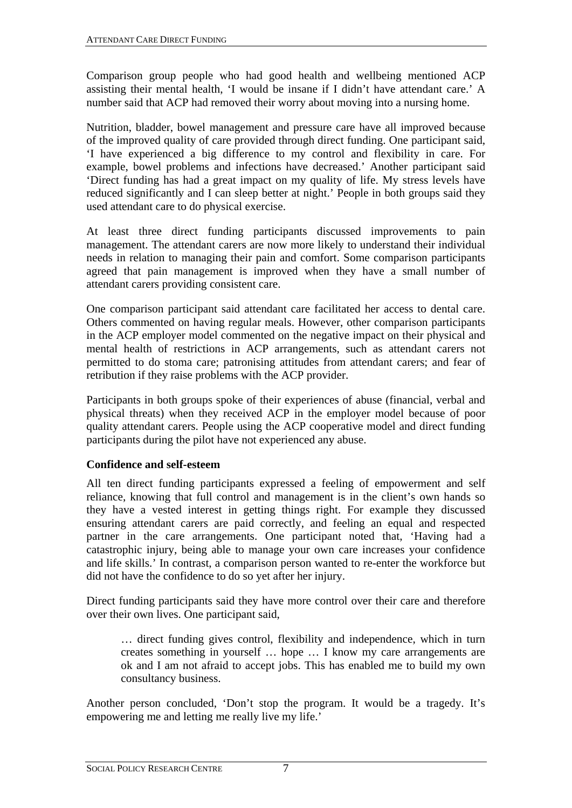<span id="page-11-0"></span>Comparison group people who had good health and wellbeing mentioned ACP assisting their mental health, 'I would be insane if I didn't have attendant care.' A number said that ACP had removed their worry about moving into a nursing home.

Nutrition, bladder, bowel management and pressure care have all improved because of the improved quality of care provided through direct funding. One participant said, 'I have experienced a big difference to my control and flexibility in care. For example, bowel problems and infections have decreased.' Another participant said 'Direct funding has had a great impact on my quality of life. My stress levels have reduced significantly and I can sleep better at night.' People in both groups said they used attendant care to do physical exercise.

At least three direct funding participants discussed improvements to pain management. The attendant carers are now more likely to understand their individual needs in relation to managing their pain and comfort. Some comparison participants agreed that pain management is improved when they have a small number of attendant carers providing consistent care.

One comparison participant said attendant care facilitated her access to dental care. Others commented on having regular meals. However, other comparison participants in the ACP employer model commented on the negative impact on their physical and mental health of restrictions in ACP arrangements, such as attendant carers not permitted to do stoma care; patronising attitudes from attendant carers; and fear of retribution if they raise problems with the ACP provider.

Participants in both groups spoke of their experiences of abuse (financial, verbal and physical threats) when they received ACP in the employer model because of poor quality attendant carers. People using the ACP cooperative model and direct funding participants during the pilot have not experienced any abuse.

## **Confidence and self-esteem**

All ten direct funding participants expressed a feeling of empowerment and self reliance, knowing that full control and management is in the client's own hands so they have a vested interest in getting things right. For example they discussed ensuring attendant carers are paid correctly, and feeling an equal and respected partner in the care arrangements. One participant noted that, 'Having had a catastrophic injury, being able to manage your own care increases your confidence and life skills.' In contrast, a comparison person wanted to re-enter the workforce but did not have the confidence to do so yet after her injury.

Direct funding participants said they have more control over their care and therefore over their own lives. One participant said,

 … direct funding gives control, flexibility and independence, which in turn creates something in yourself … hope … I know my care arrangements are ok and I am not afraid to accept jobs. This has enabled me to build my own consultancy business.

Another person concluded, 'Don't stop the program. It would be a tragedy. It's empowering me and letting me really live my life.'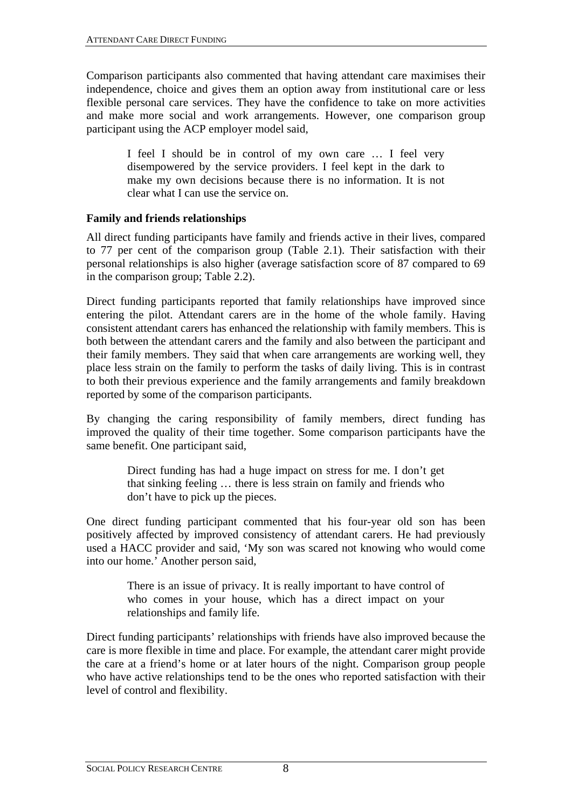<span id="page-12-0"></span>Comparison participants also commented that having attendant care maximises their independence, choice and gives them an option away from institutional care or less flexible personal care services. They have the confidence to take on more activities and make more social and work arrangements. However, one comparison group participant using the ACP employer model said,

I feel I should be in control of my own care … I feel very disempowered by the service providers. I feel kept in the dark to make my own decisions because there is no information. It is not clear what I can use the service on.

#### **Family and friends relationships**

All direct funding participants have family and friends active in their lives, compared to 77 per cent of the comparison group [\(Table 2.1\)](#page-7-1). Their satisfaction with their personal relationships is also higher (average satisfaction score of 87 compared to 69 in the comparison group; [Table 2.2\)](#page-9-1).

Direct funding participants reported that family relationships have improved since entering the pilot. Attendant carers are in the home of the whole family. Having consistent attendant carers has enhanced the relationship with family members. This is both between the attendant carers and the family and also between the participant and their family members. They said that when care arrangements are working well, they place less strain on the family to perform the tasks of daily living. This is in contrast to both their previous experience and the family arrangements and family breakdown reported by some of the comparison participants.

By changing the caring responsibility of family members, direct funding has improved the quality of their time together. Some comparison participants have the same benefit. One participant said,

> Direct funding has had a huge impact on stress for me. I don't get that sinking feeling … there is less strain on family and friends who don't have to pick up the pieces.

One direct funding participant commented that his four-year old son has been positively affected by improved consistency of attendant carers. He had previously used a HACC provider and said, 'My son was scared not knowing who would come into our home.' Another person said,

> There is an issue of privacy. It is really important to have control of who comes in your house, which has a direct impact on your relationships and family life.

Direct funding participants' relationships with friends have also improved because the care is more flexible in time and place. For example, the attendant carer might provide the care at a friend's home or at later hours of the night. Comparison group people who have active relationships tend to be the ones who reported satisfaction with their level of control and flexibility.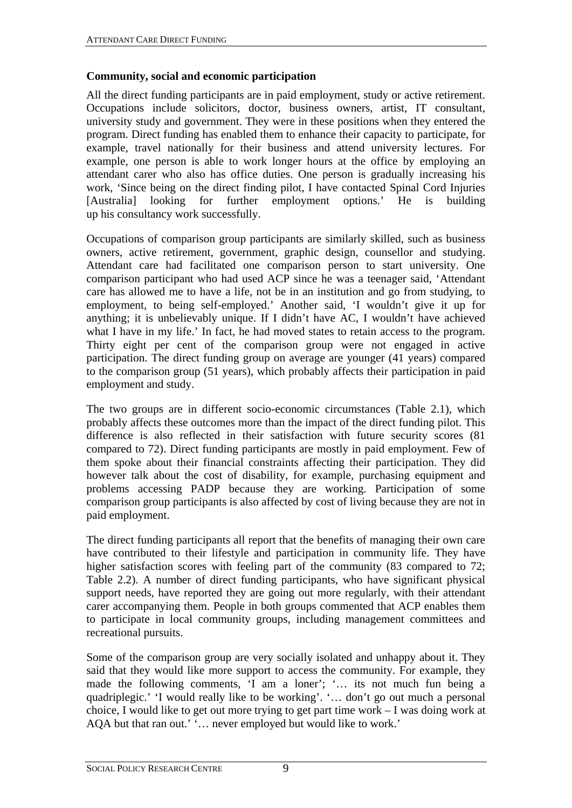#### <span id="page-13-0"></span>**Community, social and economic participation**

All the direct funding participants are in paid employment, study or active retirement. Occupations include solicitors, doctor, business owners, artist, IT consultant, university study and government. They were in these positions when they entered the program. Direct funding has enabled them to enhance their capacity to participate, for example, travel nationally for their business and attend university lectures. For example, one person is able to work longer hours at the office by employing an attendant carer who also has office duties. One person is gradually increasing his work, 'Since being on the direct finding pilot, I have contacted Spinal Cord Injuries [Australia] looking for further employment options.' He is building [Australia] looking for further employment options.' He is building up his consultancy work successfully.

Occupations of comparison group participants are similarly skilled, such as business owners, active retirement, government, graphic design, counsellor and studying. Attendant care had facilitated one comparison person to start university. One comparison participant who had used ACP since he was a teenager said, 'Attendant care has allowed me to have a life, not be in an institution and go from studying, to employment, to being self-employed.' Another said, 'I wouldn't give it up for anything; it is unbelievably unique. If I didn't have AC, I wouldn't have achieved what I have in my life.' In fact, he had moved states to retain access to the program. Thirty eight per cent of the comparison group were not engaged in active participation. The direct funding group on average are younger (41 years) compared to the comparison group (51 years), which probably affects their participation in paid employment and study.

The two groups are in different socio-economic circumstances ([Table 2.1\)](#page-7-1), which probably affects these outcomes more than the impact of the direct funding pilot. This difference is also reflected in their satisfaction with future security scores (81) compared to 72). Direct funding participants are mostly in paid employment. Few of them spoke about their financial constraints affecting their participation. They did however talk about the cost of disability, for example, purchasing equipment and problems accessing PADP because they are working. Participation of some comparison group participants is also affected by cost of living because they are not in paid employment.

The direct funding participants all report that the benefits of managing their own care have contributed to their lifestyle and participation in community life. They have higher satisfaction scores with feeling part of the community (83 compared to 72; [Table 2.2](#page-9-1)). A number of direct funding participants, who have significant physical support needs, have reported they are going out more regularly, with their attendant carer accompanying them. People in both groups commented that ACP enables them to participate in local community groups, including management committees and recreational pursuits.

Some of the comparison group are very socially isolated and unhappy about it. They said that they would like more support to access the community. For example, they made the following comments, 'I am a loner'; '… its not much fun being a quadriplegic.' 'I would really like to be working'. '… don't go out much a personal choice, I would like to get out more trying to get part time work – I was doing work at AQA but that ran out.' '… never employed but would like to work.'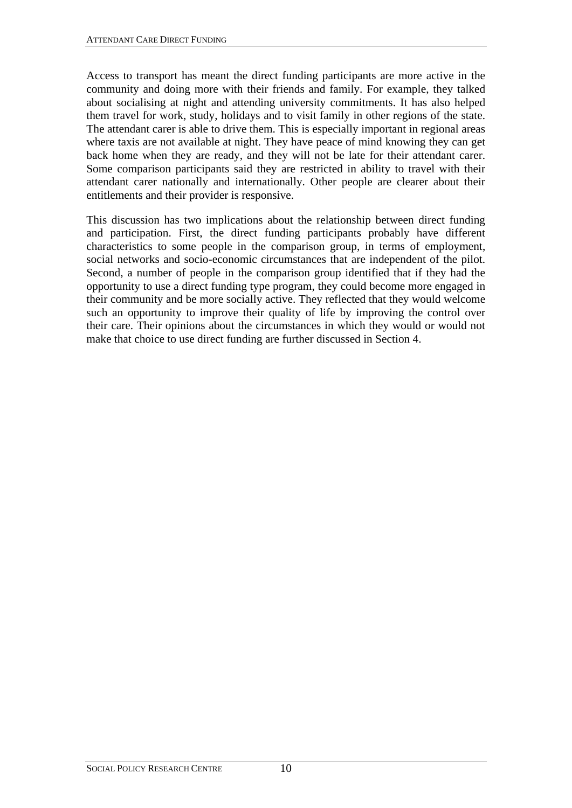Access to transport has meant the direct funding participants are more active in the community and doing more with their friends and family. For example, they talked about socialising at night and attending university commitments. It has also helped them travel for work, study, holidays and to visit family in other regions of the state. The attendant carer is able to drive them. This is especially important in regional areas where taxis are not available at night. They have peace of mind knowing they can get back home when they are ready, and they will not be late for their attendant carer. Some comparison participants said they are restricted in ability to travel with their attendant carer nationally and internationally. Other people are clearer about their entitlements and their provider is responsive.

This discussion has two implications about the relationship between direct funding and participation. First, the direct funding participants probably have different characteristics to some people in the comparison group, in terms of employment, social networks and socio-economic circumstances that are independent of the pilot. Second, a number of people in the comparison group identified that if they had the opportunity to use a direct funding type program, they could become more engaged in their community and be more socially active. They reflected that they would welcome such an opportunity to improve their quality of life by improving the control over their care. Their opinions about the circumstances in which they would or would not make that choice to use direct funding are further discussed in Section 4.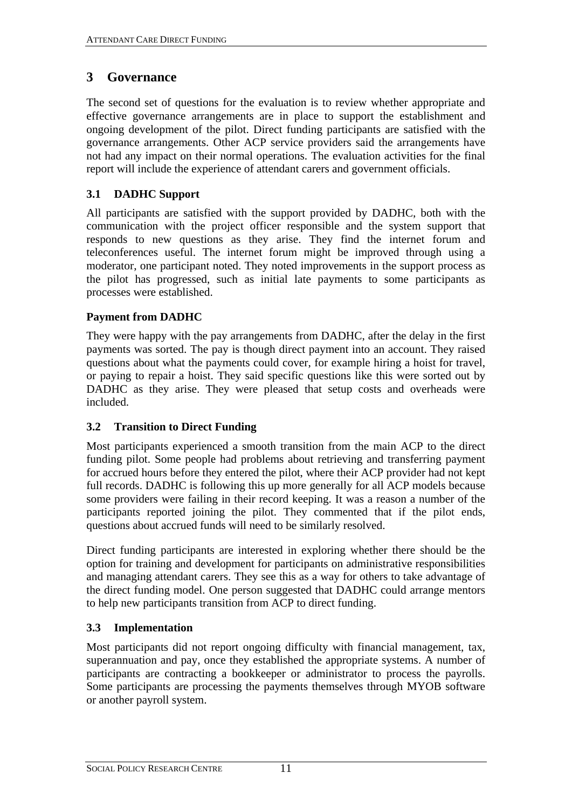# <span id="page-15-0"></span>**3 Governance**

The second set of questions for the evaluation is to review whether appropriate and effective governance arrangements are in place to support the establishment and ongoing development of the pilot. Direct funding participants are satisfied with the governance arrangements. Other ACP service providers said the arrangements have not had any impact on their normal operations. The evaluation activities for the final report will include the experience of attendant carers and government officials.

## **3.1 DADHC Support**

All participants are satisfied with the support provided by DADHC, both with the communication with the project officer responsible and the system support that responds to new questions as they arise. They find the internet forum and teleconferences useful. The internet forum might be improved through using a moderator, one participant noted. They noted improvements in the support process as the pilot has progressed, such as initial late payments to some participants as processes were established.

## **Payment from DADHC**

They were happy with the pay arrangements from DADHC, after the delay in the first payments was sorted. The pay is though direct payment into an account. They raised questions about what the payments could cover, for example hiring a hoist for travel, or paying to repair a hoist. They said specific questions like this were sorted out by DADHC as they arise. They were pleased that setup costs and overheads were included.

# **3.2 Transition to Direct Funding**

Most participants experienced a smooth transition from the main ACP to the direct funding pilot. Some people had problems about retrieving and transferring payment for accrued hours before they entered the pilot, where their ACP provider had not kept full records. DADHC is following this up more generally for all ACP models because some providers were failing in their record keeping. It was a reason a number of the participants reported joining the pilot. They commented that if the pilot ends, questions about accrued funds will need to be similarly resolved.

Direct funding participants are interested in exploring whether there should be the option for training and development for participants on administrative responsibilities and managing attendant carers. They see this as a way for others to take advantage of the direct funding model. One person suggested that DADHC could arrange mentors to help new participants transition from ACP to direct funding.

# **3.3 Implementation**

Most participants did not report ongoing difficulty with financial management, tax, superannuation and pay, once they established the appropriate systems. A number of participants are contracting a bookkeeper or administrator to process the payrolls. Some participants are processing the payments themselves through MYOB software or another payroll system.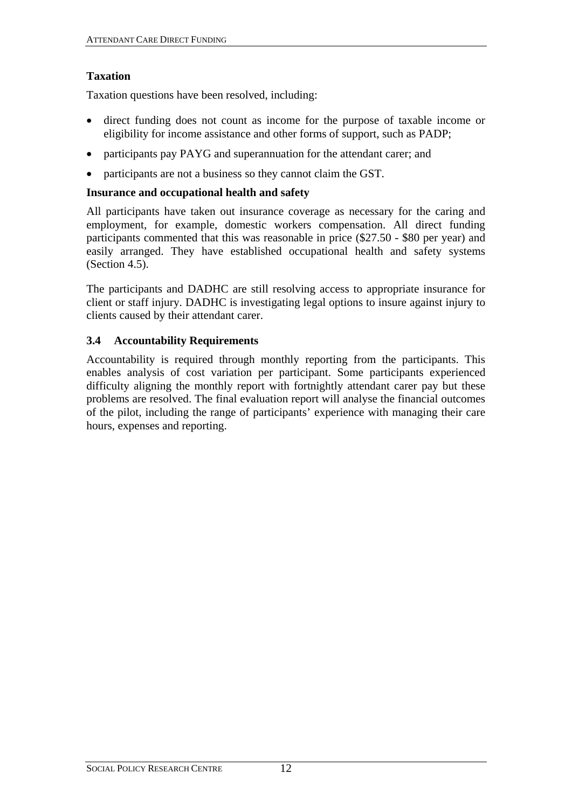#### <span id="page-16-0"></span>**Taxation**

Taxation questions have been resolved, including:

- direct funding does not count as income for the purpose of taxable income or eligibility for income assistance and other forms of support, such as PADP;
- participants pay PAYG and superannuation for the attendant carer; and
- participants are not a business so they cannot claim the GST.

#### **Insurance and occupational health and safety**

All participants have taken out insurance coverage as necessary for the caring and employment, for example, domestic workers compensation. All direct funding participants commented that this was reasonable in price (\$27.50 - \$80 per year) and easily arranged. They have established occupational health and safety systems (Section [4.5\)](#page-22-1).

The participants and DADHC are still resolving access to appropriate insurance for client or staff injury. DADHC is investigating legal options to insure against injury to clients caused by their attendant carer.

#### **3.4 Accountability Requirements**

Accountability is required through monthly reporting from the participants. This enables analysis of cost variation per participant. Some participants experienced difficulty aligning the monthly report with fortnightly attendant carer pay but these problems are resolved. The final evaluation report will analyse the financial outcomes of the pilot, including the range of participants' experience with managing their care hours, expenses and reporting.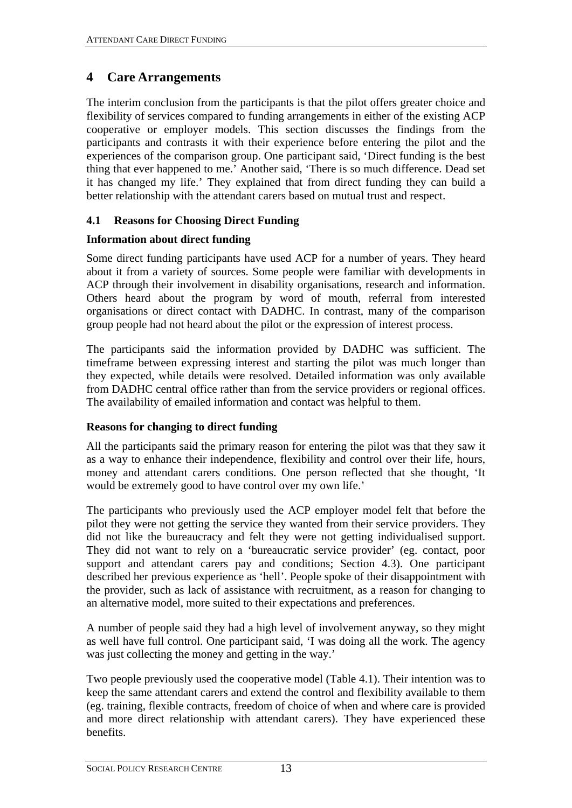# <span id="page-17-0"></span>**4 Care Arrangements**

The interim conclusion from the participants is that the pilot offers greater choice and flexibility of services compared to funding arrangements in either of the existing ACP cooperative or employer models. This section discusses the findings from the participants and contrasts it with their experience before entering the pilot and the experiences of the comparison group. One participant said, 'Direct funding is the best thing that ever happened to me.' Another said, 'There is so much difference. Dead set it has changed my life.' They explained that from direct funding they can build a better relationship with the attendant carers based on mutual trust and respect.

## **4.1 Reasons for Choosing Direct Funding**

## **Information about direct funding**

Some direct funding participants have used ACP for a number of years. They heard about it from a variety of sources. Some people were familiar with developments in ACP through their involvement in disability organisations, research and information. Others heard about the program by word of mouth, referral from interested organisations or direct contact with DADHC. In contrast, many of the comparison group people had not heard about the pilot or the expression of interest process.

The participants said the information provided by DADHC was sufficient. The timeframe between expressing interest and starting the pilot was much longer than they expected, while details were resolved. Detailed information was only available from DADHC central office rather than from the service providers or regional offices. The availability of emailed information and contact was helpful to them.

## **Reasons for changing to direct funding**

All the participants said the primary reason for entering the pilot was that they saw it as a way to enhance their independence, flexibility and control over their life, hours, money and attendant carers conditions. One person reflected that she thought, 'It would be extremely good to have control over my own life.'

The participants who previously used the ACP employer model felt that before the pilot they were not getting the service they wanted from their service providers. They did not like the bureaucracy and felt they were not getting individualised support. They did not want to rely on a 'bureaucratic service provider' (eg. contact, poor support and attendant carers pay and conditions; Section [4.3](#page-20-1)). One participant described her previous experience as 'hell'. People spoke of their disappointment with the provider, such as lack of assistance with recruitment, as a reason for changing to an alternative model, more suited to their expectations and preferences.

A number of people said they had a high level of involvement anyway, so they might as well have full control. One participant said, 'I was doing all the work. The agency was just collecting the money and getting in the way.'

Two people previously used the cooperative model [\(Table 4.1\)](#page-19-1). Their intention was to keep the same attendant carers and extend the control and flexibility available to them (eg. training, flexible contracts, freedom of choice of when and where care is provided and more direct relationship with attendant carers). They have experienced these benefits.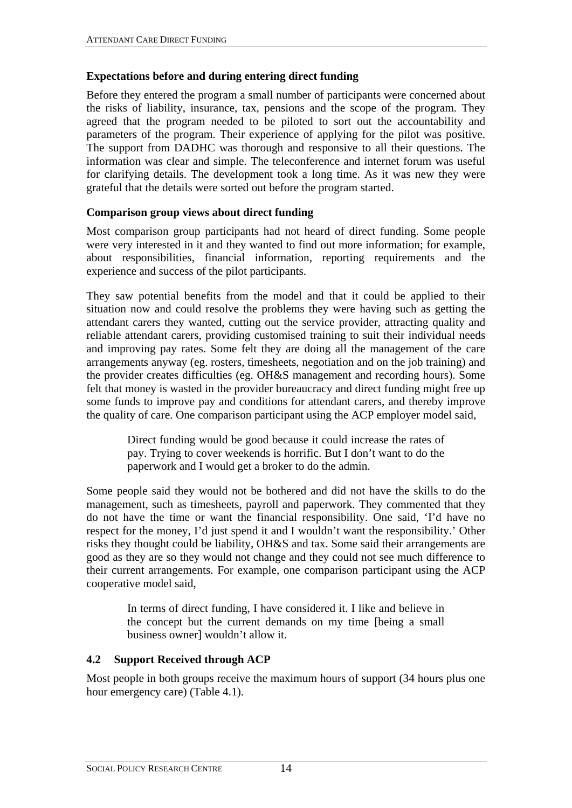#### <span id="page-18-0"></span>**Expectations before and during entering direct funding**

Before they entered the program a small number of participants were concerned about the risks of liability, insurance, tax, pensions and the scope of the program. They agreed that the program needed to be piloted to sort out the accountability and parameters of the program. Their experience of applying for the pilot was positive. The support from DADHC was thorough and responsive to all their questions. The information was clear and simple. The teleconference and internet forum was useful for clarifying details. The development took a long time. As it was new they were grateful that the details were sorted out before the program started.

#### **Comparison group views about direct funding**

Most comparison group participants had not heard of direct funding. Some people were very interested in it and they wanted to find out more information; for example, about responsibilities, financial information, reporting requirements and the experience and success of the pilot participants.

They saw potential benefits from the model and that it could be applied to their situation now and could resolve the problems they were having such as getting the attendant carers they wanted, cutting out the service provider, attracting quality and reliable attendant carers, providing customised training to suit their individual needs and improving pay rates. Some felt they are doing all the management of the care arrangements anyway (eg. rosters, timesheets, negotiation and on the job training) and the provider creates difficulties (eg. OH&S management and recording hours). Some felt that money is wasted in the provider bureaucracy and direct funding might free up some funds to improve pay and conditions for attendant carers, and thereby improve the quality of care. One comparison participant using the ACP employer model said,

Direct funding would be good because it could increase the rates of pay. Trying to cover weekends is horrific. But I don't want to do the paperwork and I would get a broker to do the admin.

Some people said they would not be bothered and did not have the skills to do the management, such as timesheets, payroll and paperwork. They commented that they do not have the time or want the financial responsibility. One said, 'I'd have no respect for the money, I'd just spend it and I wouldn't want the responsibility.' Other risks they thought could be liability, OH&S and tax. Some said their arrangements are good as they are so they would not change and they could not see much difference to their current arrangements. For example, one comparison participant using the ACP cooperative model said,

> In terms of direct funding, I have considered it. I like and believe in the concept but the current demands on my time [being a small business owner] wouldn't allow it.

## **4.2 Support Received through ACP**

Most people in both groups receive the maximum hours of support (34 hours plus one hour emergency care) ([Table 4.1\)](#page-19-1).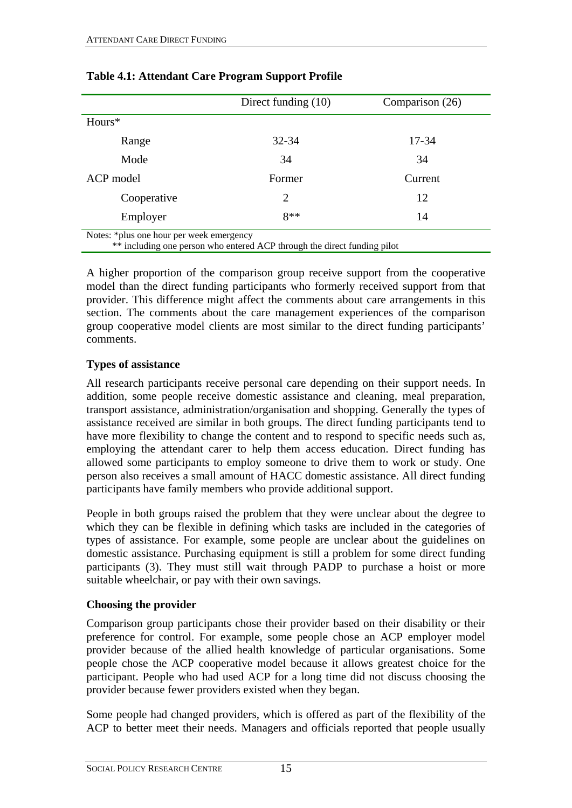<span id="page-19-1"></span>

|                                                                                                                      | Direct funding $(10)$ | Comparison (26) |  |  |  |
|----------------------------------------------------------------------------------------------------------------------|-----------------------|-----------------|--|--|--|
| Hours*                                                                                                               |                       |                 |  |  |  |
| Range                                                                                                                | 32-34                 | 17-34           |  |  |  |
| Mode                                                                                                                 | 34                    | 34              |  |  |  |
| ACP model                                                                                                            | Former                | Current         |  |  |  |
| Cooperative                                                                                                          | 2                     | 12              |  |  |  |
| Employer                                                                                                             | $8**$                 | 14              |  |  |  |
| Notes: *plus one hour per week emergency<br>** including one person who entered ACP through the direct funding pilot |                       |                 |  |  |  |

<span id="page-19-0"></span>

| <b>Table 4.1: Attendant Care Program Support Profile</b> |  |
|----------------------------------------------------------|--|
|----------------------------------------------------------|--|

A higher proportion of the comparison group receive support from the cooperative model than the direct funding participants who formerly received support from that provider. This difference might affect the comments about care arrangements in this section. The comments about the care management experiences of the comparison group cooperative model clients are most similar to the direct funding participants' comments.

## **Types of assistance**

All research participants receive personal care depending on their support needs. In addition, some people receive domestic assistance and cleaning, meal preparation, transport assistance, administration/organisation and shopping. Generally the types of assistance received are similar in both groups. The direct funding participants tend to have more flexibility to change the content and to respond to specific needs such as, employing the attendant carer to help them access education. Direct funding has allowed some participants to employ someone to drive them to work or study. One person also receives a small amount of HACC domestic assistance. All direct funding participants have family members who provide additional support.

People in both groups raised the problem that they were unclear about the degree to which they can be flexible in defining which tasks are included in the categories of types of assistance. For example, some people are unclear about the guidelines on domestic assistance. Purchasing equipment is still a problem for some direct funding participants (3). They must still wait through PADP to purchase a hoist or more suitable wheelchair, or pay with their own savings.

## **Choosing the provider**

Comparison group participants chose their provider based on their disability or their preference for control. For example, some people chose an ACP employer model provider because of the allied health knowledge of particular organisations. Some people chose the ACP cooperative model because it allows greatest choice for the participant. People who had used ACP for a long time did not discuss choosing the provider because fewer providers existed when they began.

Some people had changed providers, which is offered as part of the flexibility of the ACP to better meet their needs. Managers and officials reported that people usually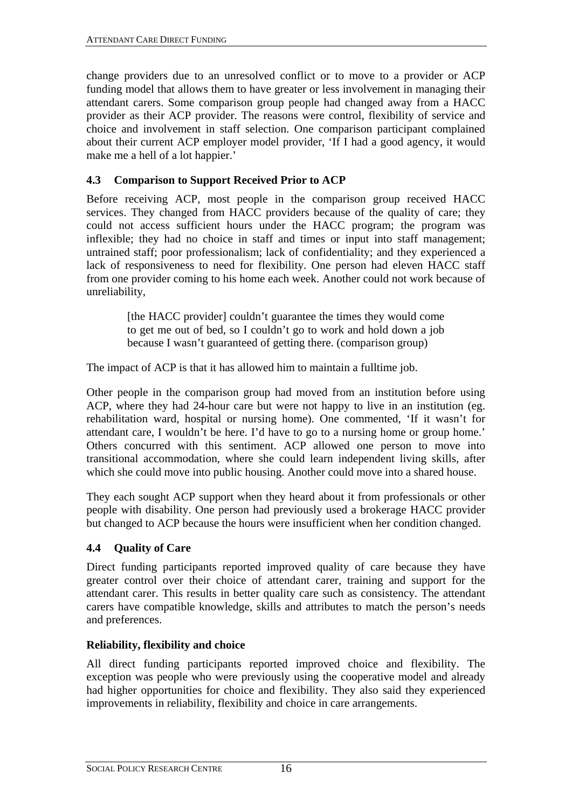<span id="page-20-0"></span>change providers due to an unresolved conflict or to move to a provider or ACP funding model that allows them to have greater or less involvement in managing their attendant carers. Some comparison group people had changed away from a HACC provider as their ACP provider. The reasons were control, flexibility of service and choice and involvement in staff selection. One comparison participant complained about their current ACP employer model provider, 'If I had a good agency, it would make me a hell of a lot happier.'

#### <span id="page-20-1"></span>**4.3 Comparison to Support Received Prior to ACP**

Before receiving ACP, most people in the comparison group received HACC services. They changed from HACC providers because of the quality of care; they could not access sufficient hours under the HACC program; the program was inflexible; they had no choice in staff and times or input into staff management; untrained staff; poor professionalism; lack of confidentiality; and they experienced a lack of responsiveness to need for flexibility. One person had eleven HACC staff from one provider coming to his home each week. Another could not work because of unreliability,

[the HACC provider] couldn't guarantee the times they would come to get me out of bed, so I couldn't go to work and hold down a job because I wasn't guaranteed of getting there. (comparison group)

The impact of ACP is that it has allowed him to maintain a fulltime job.

Other people in the comparison group had moved from an institution before using ACP, where they had 24-hour care but were not happy to live in an institution (eg. rehabilitation ward, hospital or nursing home). One commented, 'If it wasn't for attendant care, I wouldn't be here. I'd have to go to a nursing home or group home.' Others concurred with this sentiment. ACP allowed one person to move into transitional accommodation, where she could learn independent living skills, after which she could move into public housing. Another could move into a shared house.

They each sought ACP support when they heard about it from professionals or other people with disability. One person had previously used a brokerage HACC provider but changed to ACP because the hours were insufficient when her condition changed.

#### **4.4 Quality of Care**

Direct funding participants reported improved quality of care because they have greater control over their choice of attendant carer, training and support for the attendant carer. This results in better quality care such as consistency. The attendant carers have compatible knowledge, skills and attributes to match the person's needs and preferences.

#### **Reliability, flexibility and choice**

All direct funding participants reported improved choice and flexibility. The exception was people who were previously using the cooperative model and already had higher opportunities for choice and flexibility. They also said they experienced improvements in reliability, flexibility and choice in care arrangements.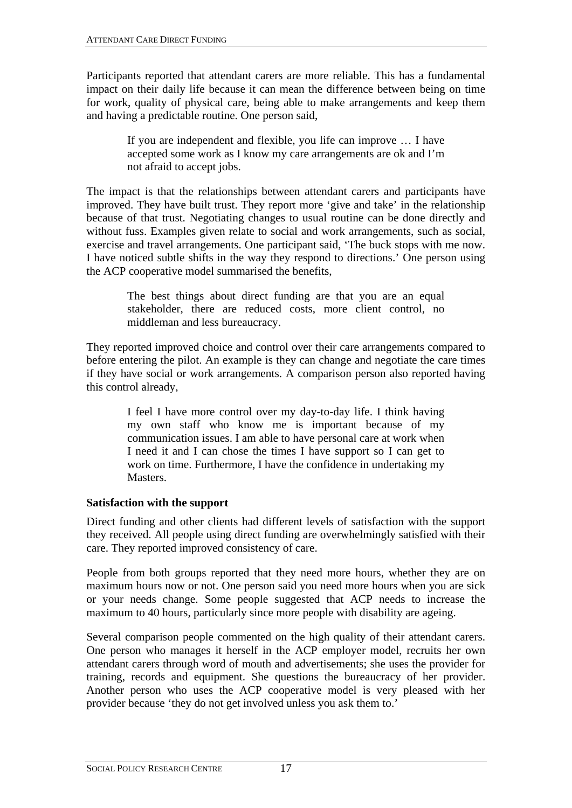<span id="page-21-0"></span>Participants reported that attendant carers are more reliable. This has a fundamental impact on their daily life because it can mean the difference between being on time for work, quality of physical care, being able to make arrangements and keep them and having a predictable routine. One person said,

> If you are independent and flexible, you life can improve … I have accepted some work as I know my care arrangements are ok and I'm not afraid to accept jobs.

The impact is that the relationships between attendant carers and participants have improved. They have built trust. They report more 'give and take' in the relationship because of that trust. Negotiating changes to usual routine can be done directly and without fuss. Examples given relate to social and work arrangements, such as social, exercise and travel arrangements. One participant said, 'The buck stops with me now. I have noticed subtle shifts in the way they respond to directions.' One person using the ACP cooperative model summarised the benefits,

> The best things about direct funding are that you are an equal stakeholder, there are reduced costs, more client control, no middleman and less bureaucracy.

They reported improved choice and control over their care arrangements compared to before entering the pilot. An example is they can change and negotiate the care times if they have social or work arrangements. A comparison person also reported having this control already,

I feel I have more control over my day-to-day life. I think having my own staff who know me is important because of my communication issues. I am able to have personal care at work when I need it and I can chose the times I have support so I can get to work on time. Furthermore, I have the confidence in undertaking my Masters.

## **Satisfaction with the support**

Direct funding and other clients had different levels of satisfaction with the support they received. All people using direct funding are overwhelmingly satisfied with their care. They reported improved consistency of care.

People from both groups reported that they need more hours, whether they are on maximum hours now or not. One person said you need more hours when you are sick or your needs change. Some people suggested that ACP needs to increase the maximum to 40 hours, particularly since more people with disability are ageing.

Several comparison people commented on the high quality of their attendant carers. One person who manages it herself in the ACP employer model, recruits her own attendant carers through word of mouth and advertisements; she uses the provider for training, records and equipment. She questions the bureaucracy of her provider. Another person who uses the ACP cooperative model is very pleased with her provider because 'they do not get involved unless you ask them to.'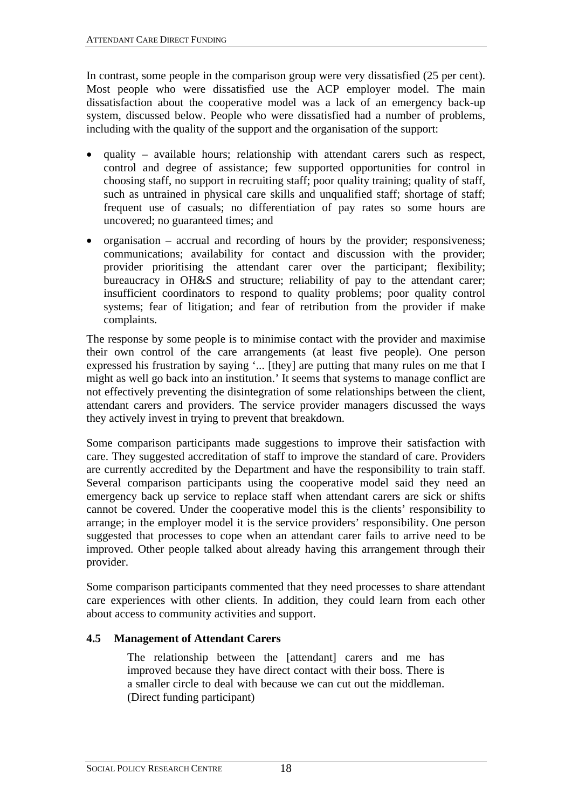<span id="page-22-0"></span>In contrast, some people in the comparison group were very dissatisfied (25 per cent). Most people who were dissatisfied use the ACP employer model. The main dissatisfaction about the cooperative model was a lack of an emergency back-up system, discussed below. People who were dissatisfied had a number of problems, including with the quality of the support and the organisation of the support:

- quality available hours; relationship with attendant carers such as respect, control and degree of assistance; few supported opportunities for control in choosing staff, no support in recruiting staff; poor quality training; quality of staff, such as untrained in physical care skills and unqualified staff; shortage of staff; frequent use of casuals; no differentiation of pay rates so some hours are uncovered; no guaranteed times; and
- organisation accrual and recording of hours by the provider; responsiveness; communications; availability for contact and discussion with the provider; provider prioritising the attendant carer over the participant; flexibility; bureaucracy in OH&S and structure; reliability of pay to the attendant carer; insufficient coordinators to respond to quality problems; poor quality control systems; fear of litigation; and fear of retribution from the provider if make complaints.

The response by some people is to minimise contact with the provider and maximise their own control of the care arrangements (at least five people). One person expressed his frustration by saying '... [they] are putting that many rules on me that I might as well go back into an institution.' It seems that systems to manage conflict are not effectively preventing the disintegration of some relationships between the client, attendant carers and providers. The service provider managers discussed the ways they actively invest in trying to prevent that breakdown.

Some comparison participants made suggestions to improve their satisfaction with care. They suggested accreditation of staff to improve the standard of care. Providers are currently accredited by the Department and have the responsibility to train staff. Several comparison participants using the cooperative model said they need an emergency back up service to replace staff when attendant carers are sick or shifts cannot be covered. Under the cooperative model this is the clients' responsibility to arrange; in the employer model it is the service providers' responsibility. One person suggested that processes to cope when an attendant carer fails to arrive need to be improved. Other people talked about already having this arrangement through their provider.

Some comparison participants commented that they need processes to share attendant care experiences with other clients. In addition, they could learn from each other about access to community activities and support.

## <span id="page-22-1"></span>**4.5 Management of Attendant Carers**

The relationship between the [attendant] carers and me has improved because they have direct contact with their boss. There is a smaller circle to deal with because we can cut out the middleman. (Direct funding participant)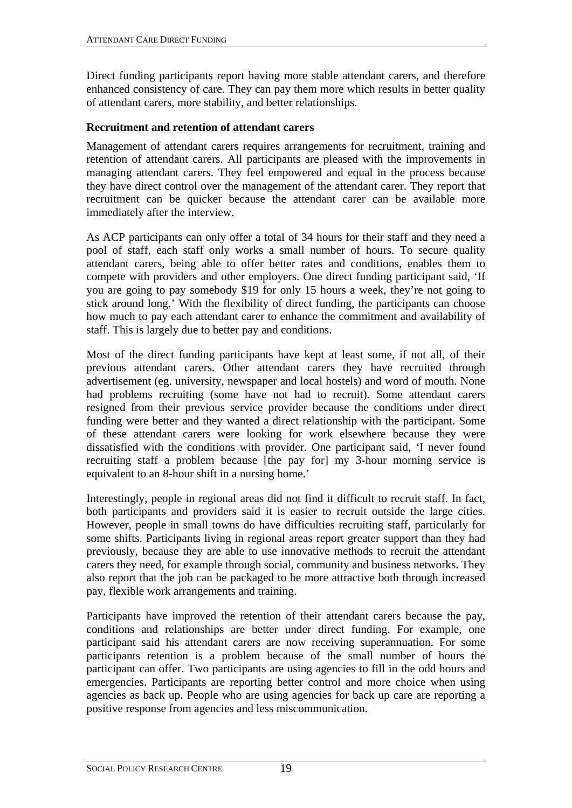<span id="page-23-0"></span>Direct funding participants report having more stable attendant carers, and therefore enhanced consistency of care. They can pay them more which results in better quality of attendant carers, more stability, and better relationships.

#### **Recruitment and retention of attendant carers**

Management of attendant carers requires arrangements for recruitment, training and retention of attendant carers. All participants are pleased with the improvements in managing attendant carers. They feel empowered and equal in the process because they have direct control over the management of the attendant carer. They report that recruitment can be quicker because the attendant carer can be available more immediately after the interview.

As ACP participants can only offer a total of 34 hours for their staff and they need a pool of staff, each staff only works a small number of hours. To secure quality attendant carers, being able to offer better rates and conditions, enables them to compete with providers and other employers. One direct funding participant said, 'If you are going to pay somebody \$19 for only 15 hours a week, they're not going to stick around long.' With the flexibility of direct funding, the participants can choose how much to pay each attendant carer to enhance the commitment and availability of staff. This is largely due to better pay and conditions.

Most of the direct funding participants have kept at least some, if not all, of their previous attendant carers. Other attendant carers they have recruited through advertisement (eg. university, newspaper and local hostels) and word of mouth. None had problems recruiting (some have not had to recruit). Some attendant carers resigned from their previous service provider because the conditions under direct funding were better and they wanted a direct relationship with the participant. Some of these attendant carers were looking for work elsewhere because they were dissatisfied with the conditions with provider. One participant said, 'I never found recruiting staff a problem because [the pay for] my 3-hour morning service is equivalent to an 8-hour shift in a nursing home.'

Interestingly, people in regional areas did not find it difficult to recruit staff. In fact, both participants and providers said it is easier to recruit outside the large cities. However, people in small towns do have difficulties recruiting staff, particularly for some shifts. Participants living in regional areas report greater support than they had previously, because they are able to use innovative methods to recruit the attendant carers they need, for example through social, community and business networks. They also report that the job can be packaged to be more attractive both through increased pay, flexible work arrangements and training.

Participants have improved the retention of their attendant carers because the pay, conditions and relationships are better under direct funding. For example, one participant said his attendant carers are now receiving superannuation. For some participants retention is a problem because of the small number of hours the participant can offer. Two participants are using agencies to fill in the odd hours and emergencies. Participants are reporting better control and more choice when using agencies as back up. People who are using agencies for back up care are reporting a positive response from agencies and less miscommunication.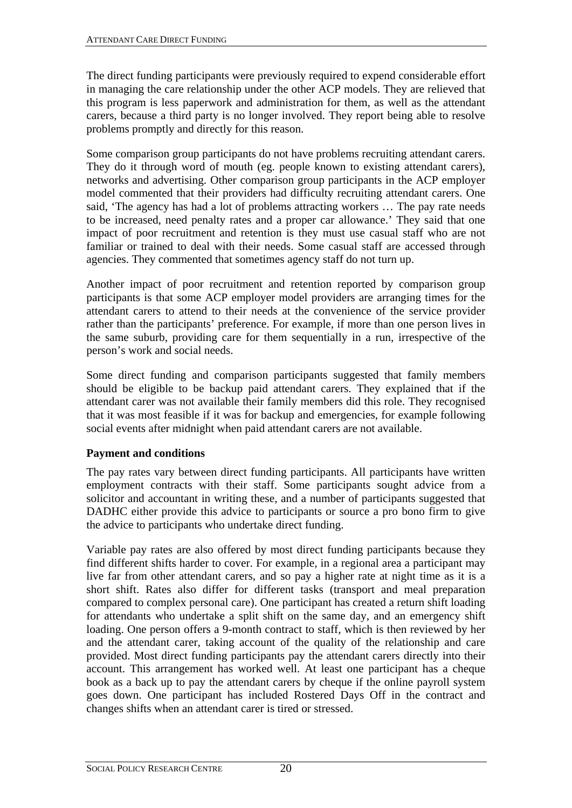<span id="page-24-0"></span>The direct funding participants were previously required to expend considerable effort in managing the care relationship under the other ACP models. They are relieved that this program is less paperwork and administration for them, as well as the attendant carers, because a third party is no longer involved. They report being able to resolve problems promptly and directly for this reason.

Some comparison group participants do not have problems recruiting attendant carers. They do it through word of mouth (eg. people known to existing attendant carers), networks and advertising. Other comparison group participants in the ACP employer model commented that their providers had difficulty recruiting attendant carers. One said, 'The agency has had a lot of problems attracting workers … The pay rate needs to be increased, need penalty rates and a proper car allowance.' They said that one impact of poor recruitment and retention is they must use casual staff who are not familiar or trained to deal with their needs. Some casual staff are accessed through agencies. They commented that sometimes agency staff do not turn up.

Another impact of poor recruitment and retention reported by comparison group participants is that some ACP employer model providers are arranging times for the attendant carers to attend to their needs at the convenience of the service provider rather than the participants' preference. For example, if more than one person lives in the same suburb, providing care for them sequentially in a run, irrespective of the person's work and social needs.

Some direct funding and comparison participants suggested that family members should be eligible to be backup paid attendant carers. They explained that if the attendant carer was not available their family members did this role. They recognised that it was most feasible if it was for backup and emergencies, for example following social events after midnight when paid attendant carers are not available.

## **Payment and conditions**

The pay rates vary between direct funding participants. All participants have written employment contracts with their staff. Some participants sought advice from a solicitor and accountant in writing these, and a number of participants suggested that DADHC either provide this advice to participants or source a pro bono firm to give the advice to participants who undertake direct funding.

Variable pay rates are also offered by most direct funding participants because they find different shifts harder to cover. For example, in a regional area a participant may live far from other attendant carers, and so pay a higher rate at night time as it is a short shift. Rates also differ for different tasks (transport and meal preparation compared to complex personal care). One participant has created a return shift loading for attendants who undertake a split shift on the same day, and an emergency shift loading. One person offers a 9-month contract to staff, which is then reviewed by her and the attendant carer, taking account of the quality of the relationship and care provided. Most direct funding participants pay the attendant carers directly into their account. This arrangement has worked well. At least one participant has a cheque book as a back up to pay the attendant carers by cheque if the online payroll system goes down. One participant has included Rostered Days Off in the contract and changes shifts when an attendant carer is tired or stressed.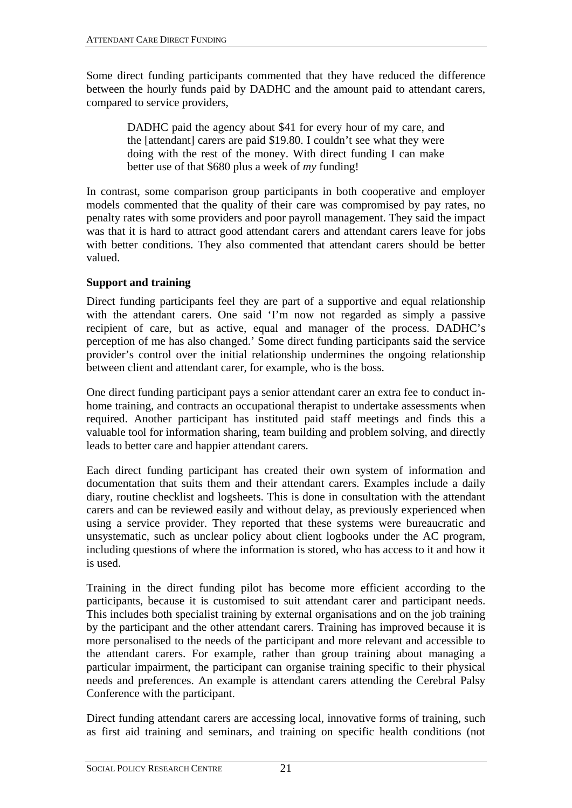<span id="page-25-0"></span>Some direct funding participants commented that they have reduced the difference between the hourly funds paid by DADHC and the amount paid to attendant carers, compared to service providers,

DADHC paid the agency about \$41 for every hour of my care, and the [attendant] carers are paid \$19.80. I couldn't see what they were doing with the rest of the money. With direct funding I can make better use of that \$680 plus a week of *my* funding!

In contrast, some comparison group participants in both cooperative and employer models commented that the quality of their care was compromised by pay rates, no penalty rates with some providers and poor payroll management. They said the impact was that it is hard to attract good attendant carers and attendant carers leave for jobs with better conditions. They also commented that attendant carers should be better valued.

#### **Support and training**

Direct funding participants feel they are part of a supportive and equal relationship with the attendant carers. One said 'I'm now not regarded as simply a passive recipient of care, but as active, equal and manager of the process. DADHC's perception of me has also changed.' Some direct funding participants said the service provider's control over the initial relationship undermines the ongoing relationship between client and attendant carer, for example, who is the boss.

One direct funding participant pays a senior attendant carer an extra fee to conduct inhome training, and contracts an occupational therapist to undertake assessments when required. Another participant has instituted paid staff meetings and finds this a valuable tool for information sharing, team building and problem solving, and directly leads to better care and happier attendant carers.

Each direct funding participant has created their own system of information and documentation that suits them and their attendant carers. Examples include a daily diary, routine checklist and logsheets. This is done in consultation with the attendant carers and can be reviewed easily and without delay, as previously experienced when using a service provider. They reported that these systems were bureaucratic and unsystematic, such as unclear policy about client logbooks under the AC program, including questions of where the information is stored, who has access to it and how it is used.

Training in the direct funding pilot has become more efficient according to the participants, because it is customised to suit attendant carer and participant needs. This includes both specialist training by external organisations and on the job training by the participant and the other attendant carers. Training has improved because it is more personalised to the needs of the participant and more relevant and accessible to the attendant carers. For example, rather than group training about managing a particular impairment, the participant can organise training specific to their physical needs and preferences. An example is attendant carers attending the Cerebral Palsy Conference with the participant.

Direct funding attendant carers are accessing local, innovative forms of training, such as first aid training and seminars, and training on specific health conditions (not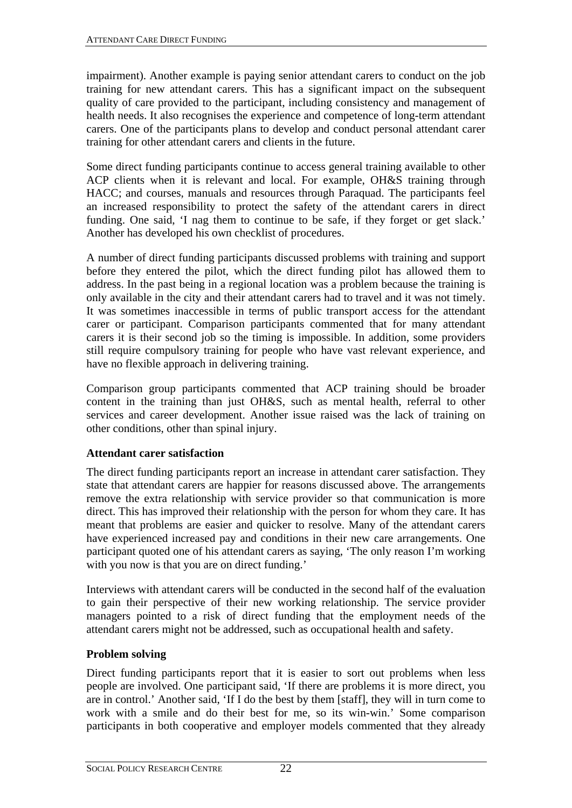<span id="page-26-0"></span>impairment). Another example is paying senior attendant carers to conduct on the job training for new attendant carers. This has a significant impact on the subsequent quality of care provided to the participant, including consistency and management of health needs. It also recognises the experience and competence of long-term attendant carers. One of the participants plans to develop and conduct personal attendant carer training for other attendant carers and clients in the future.

Some direct funding participants continue to access general training available to other ACP clients when it is relevant and local. For example, OH&S training through HACC; and courses, manuals and resources through Paraquad. The participants feel an increased responsibility to protect the safety of the attendant carers in direct funding. One said, 'I nag them to continue to be safe, if they forget or get slack.' Another has developed his own checklist of procedures.

A number of direct funding participants discussed problems with training and support before they entered the pilot, which the direct funding pilot has allowed them to address. In the past being in a regional location was a problem because the training is only available in the city and their attendant carers had to travel and it was not timely. It was sometimes inaccessible in terms of public transport access for the attendant carer or participant. Comparison participants commented that for many attendant carers it is their second job so the timing is impossible. In addition, some providers still require compulsory training for people who have vast relevant experience, and have no flexible approach in delivering training.

Comparison group participants commented that ACP training should be broader content in the training than just OH&S, such as mental health, referral to other services and career development. Another issue raised was the lack of training on other conditions, other than spinal injury.

## **Attendant carer satisfaction**

The direct funding participants report an increase in attendant carer satisfaction. They state that attendant carers are happier for reasons discussed above. The arrangements remove the extra relationship with service provider so that communication is more direct. This has improved their relationship with the person for whom they care. It has meant that problems are easier and quicker to resolve. Many of the attendant carers have experienced increased pay and conditions in their new care arrangements. One participant quoted one of his attendant carers as saying, 'The only reason I'm working with you now is that you are on direct funding.'

Interviews with attendant carers will be conducted in the second half of the evaluation to gain their perspective of their new working relationship. The service provider managers pointed to a risk of direct funding that the employment needs of the attendant carers might not be addressed, such as occupational health and safety.

## **Problem solving**

Direct funding participants report that it is easier to sort out problems when less people are involved. One participant said, 'If there are problems it is more direct, you are in control.' Another said, 'If I do the best by them [staff], they will in turn come to work with a smile and do their best for me, so its win-win.' Some comparison participants in both cooperative and employer models commented that they already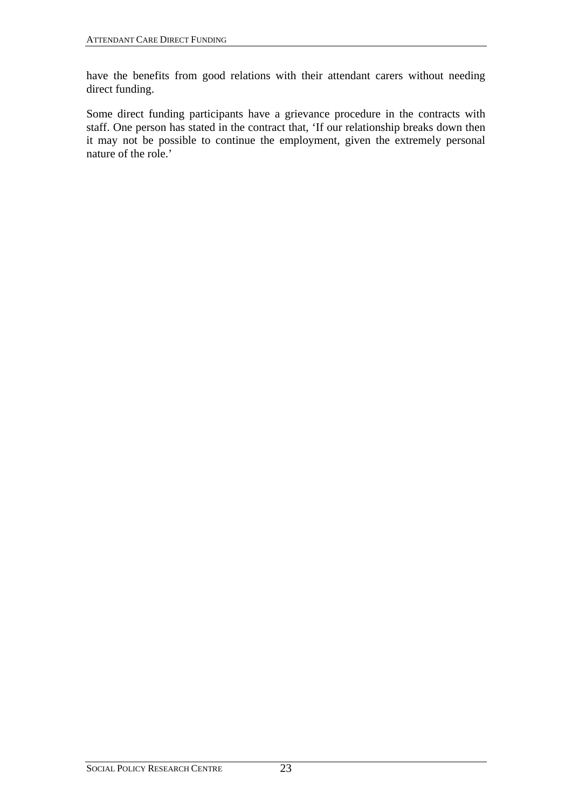have the benefits from good relations with their attendant carers without needing direct funding.

Some direct funding participants have a grievance procedure in the contracts with staff. One person has stated in the contract that, 'If our relationship breaks down then it may not be possible to continue the employment, given the extremely personal nature of the role.'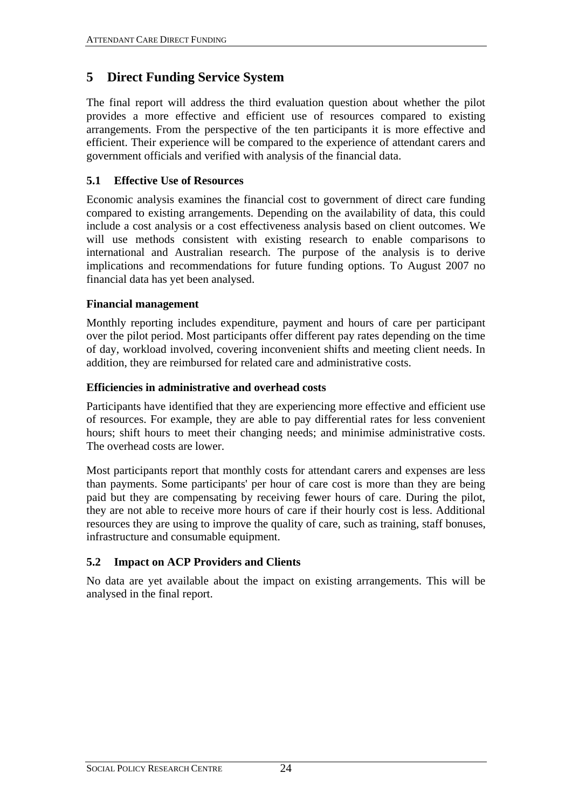# <span id="page-28-0"></span>**5 Direct Funding Service System**

The final report will address the third evaluation question about whether the pilot provides a more effective and efficient use of resources compared to existing arrangements. From the perspective of the ten participants it is more effective and efficient. Their experience will be compared to the experience of attendant carers and government officials and verified with analysis of the financial data.

## **5.1 Effective Use of Resources**

Economic analysis examines the financial cost to government of direct care funding compared to existing arrangements. Depending on the availability of data, this could include a cost analysis or a cost effectiveness analysis based on client outcomes. We will use methods consistent with existing research to enable comparisons to international and Australian research. The purpose of the analysis is to derive implications and recommendations for future funding options. To August 2007 no financial data has yet been analysed.

## **Financial management**

Monthly reporting includes expenditure, payment and hours of care per participant over the pilot period. Most participants offer different pay rates depending on the time of day, workload involved, covering inconvenient shifts and meeting client needs. In addition, they are reimbursed for related care and administrative costs.

## **Efficiencies in administrative and overhead costs**

Participants have identified that they are experiencing more effective and efficient use of resources. For example, they are able to pay differential rates for less convenient hours; shift hours to meet their changing needs; and minimise administrative costs. The overhead costs are lower.

Most participants report that monthly costs for attendant carers and expenses are less than payments. Some participants' per hour of care cost is more than they are being paid but they are compensating by receiving fewer hours of care. During the pilot, they are not able to receive more hours of care if their hourly cost is less. Additional resources they are using to improve the quality of care, such as training, staff bonuses, infrastructure and consumable equipment.

# **5.2 Impact on ACP Providers and Clients**

No data are yet available about the impact on existing arrangements. This will be analysed in the final report.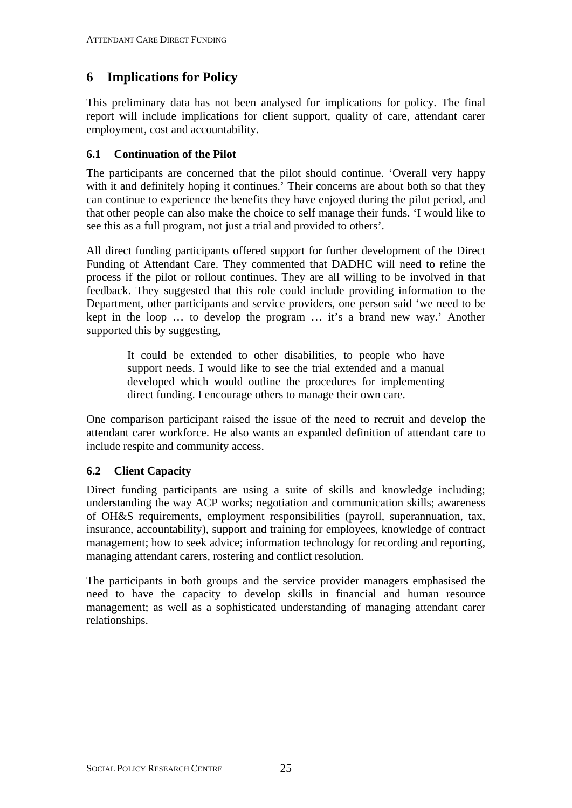# <span id="page-29-0"></span>**6 Implications for Policy**

This preliminary data has not been analysed for implications for policy. The final report will include implications for client support, quality of care, attendant carer employment, cost and accountability.

## **6.1 Continuation of the Pilot**

The participants are concerned that the pilot should continue. 'Overall very happy with it and definitely hoping it continues.<sup>7</sup> Their concerns are about both so that they can continue to experience the benefits they have enjoyed during the pilot period, and that other people can also make the choice to self manage their funds. 'I would like to see this as a full program, not just a trial and provided to others'.

All direct funding participants offered support for further development of the Direct Funding of Attendant Care. They commented that DADHC will need to refine the process if the pilot or rollout continues. They are all willing to be involved in that feedback. They suggested that this role could include providing information to the Department, other participants and service providers, one person said 'we need to be kept in the loop … to develop the program … it's a brand new way.' Another supported this by suggesting,

> It could be extended to other disabilities, to people who have support needs. I would like to see the trial extended and a manual developed which would outline the procedures for implementing direct funding. I encourage others to manage their own care.

One comparison participant raised the issue of the need to recruit and develop the attendant carer workforce. He also wants an expanded definition of attendant care to include respite and community access.

## **6.2 Client Capacity**

Direct funding participants are using a suite of skills and knowledge including; understanding the way ACP works; negotiation and communication skills; awareness of OH&S requirements, employment responsibilities (payroll, superannuation, tax, insurance, accountability), support and training for employees, knowledge of contract management; how to seek advice; information technology for recording and reporting, managing attendant carers, rostering and conflict resolution.

The participants in both groups and the service provider managers emphasised the need to have the capacity to develop skills in financial and human resource management; as well as a sophisticated understanding of managing attendant carer relationships.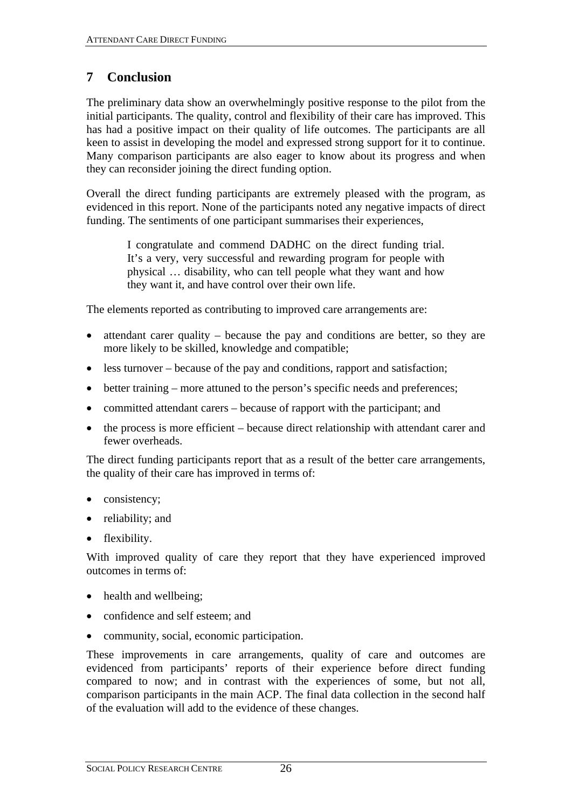# <span id="page-30-0"></span>**7 Conclusion**

The preliminary data show an overwhelmingly positive response to the pilot from the initial participants. The quality, control and flexibility of their care has improved. This has had a positive impact on their quality of life outcomes. The participants are all keen to assist in developing the model and expressed strong support for it to continue. Many comparison participants are also eager to know about its progress and when they can reconsider joining the direct funding option.

Overall the direct funding participants are extremely pleased with the program, as evidenced in this report. None of the participants noted any negative impacts of direct funding. The sentiments of one participant summarises their experiences,

> I congratulate and commend DADHC on the direct funding trial. It's a very, very successful and rewarding program for people with physical … disability, who can tell people what they want and how they want it, and have control over their own life.

The elements reported as contributing to improved care arrangements are:

- attendant carer quality because the pay and conditions are better, so they are more likely to be skilled, knowledge and compatible;
- less turnover because of the pay and conditions, rapport and satisfaction;
- better training more attuned to the person's specific needs and preferences;
- committed attendant carers because of rapport with the participant; and
- the process is more efficient because direct relationship with attendant carer and fewer overheads.

The direct funding participants report that as a result of the better care arrangements, the quality of their care has improved in terms of:

- consistency;
- reliability; and
- flexibility.

With improved quality of care they report that they have experienced improved outcomes in terms of:

- health and wellbeing;
- confidence and self esteem; and
- community, social, economic participation.

These improvements in care arrangements, quality of care and outcomes are evidenced from participants' reports of their experience before direct funding compared to now; and in contrast with the experiences of some, but not all, comparison participants in the main ACP. The final data collection in the second half of the evaluation will add to the evidence of these changes.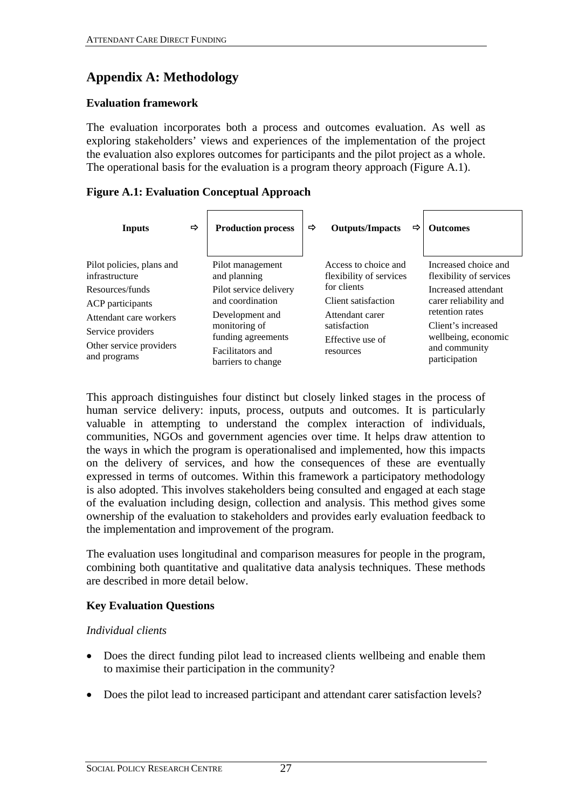# <span id="page-31-0"></span>**Appendix A: Methodology**

#### **Evaluation framework**

The evaluation incorporates both a process and outcomes evaluation. As well as exploring stakeholders' views and experiences of the implementation of the project the evaluation also explores outcomes for participants and the pilot project as a whole. The operational basis for the evaluation is a program theory approach [\(Figure A.1\)](#page-31-1).

#### <span id="page-31-1"></span>**Figure A.1: Evaluation Conceptual Approach**

| <b>Inputs</b>                               | $\Rightarrow$ | <b>Production process</b>              | ⇨ | <b>Outputs/Impacts</b>                          | $\Rightarrow$ | <b>Outcomes</b>                                 |
|---------------------------------------------|---------------|----------------------------------------|---|-------------------------------------------------|---------------|-------------------------------------------------|
| Pilot policies, plans and<br>infrastructure |               | Pilot management<br>and planning       |   | Access to choice and<br>flexibility of services |               | Increased choice and<br>flexibility of services |
| Resources/funds                             |               | Pilot service delivery                 |   | for clients                                     |               | Increased attendant                             |
| ACP participants                            |               | and coordination                       |   | Client satisfaction                             |               | carer reliability and<br>retention rates        |
| Attendant care workers                      |               | Development and                        |   | Attendant carer                                 |               |                                                 |
| Service providers                           |               | monitoring of<br>funding agreements    |   | satisfaction                                    |               | Client's increased<br>wellbeing, economic       |
| Other service providers<br>and programs     |               | Facilitators and<br>barriers to change |   | Effective use of<br>resources                   |               | and community<br>participation                  |

This approach distinguishes four distinct but closely linked stages in the process of human service delivery: inputs, process, outputs and outcomes. It is particularly valuable in attempting to understand the complex interaction of individuals, communities, NGOs and government agencies over time. It helps draw attention to the ways in which the program is operationalised and implemented, how this impacts on the delivery of services, and how the consequences of these are eventually expressed in terms of outcomes. Within this framework a participatory methodology is also adopted. This involves stakeholders being consulted and engaged at each stage of the evaluation including design, collection and analysis. This method gives some ownership of the evaluation to stakeholders and provides early evaluation feedback to the implementation and improvement of the program.

The evaluation uses longitudinal and comparison measures for people in the program, combining both quantitative and qualitative data analysis techniques. These methods are described in more detail below.

#### **Key Evaluation Questions**

#### *Individual clients*

- Does the direct funding pilot lead to increased clients wellbeing and enable them to maximise their participation in the community?
- Does the pilot lead to increased participant and attendant carer satisfaction levels?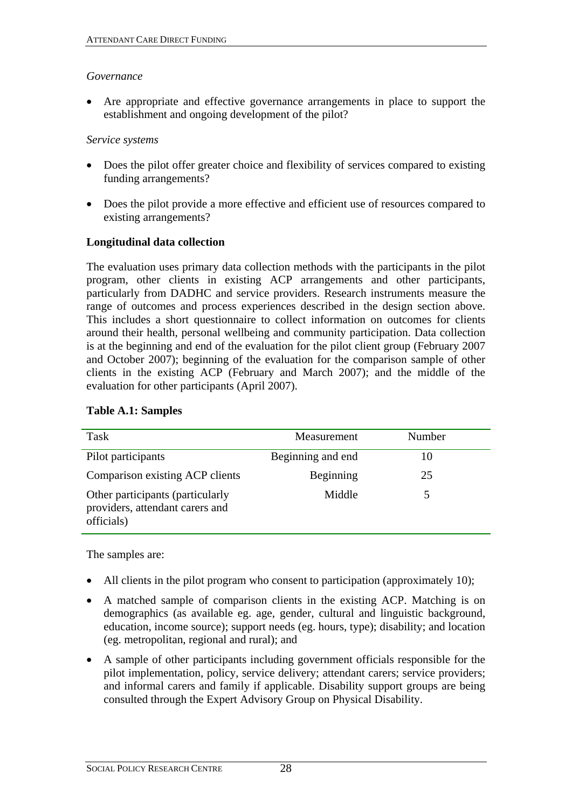#### <span id="page-32-0"></span>*Governance*

• Are appropriate and effective governance arrangements in place to support the establishment and ongoing development of the pilot?

#### *Service systems*

- Does the pilot offer greater choice and flexibility of services compared to existing funding arrangements?
- Does the pilot provide a more effective and efficient use of resources compared to existing arrangements?

#### **Longitudinal data collection**

The evaluation uses primary data collection methods with the participants in the pilot program, other clients in existing ACP arrangements and other participants, particularly from DADHC and service providers. Research instruments measure the range of outcomes and process experiences described in the design section above. This includes a short questionnaire to collect information on outcomes for clients around their health, personal wellbeing and community participation. Data collection is at the beginning and end of the evaluation for the pilot client group (February 2007 and October 2007); beginning of the evaluation for the comparison sample of other clients in the existing ACP (February and March 2007); and the middle of the evaluation for other participants (April 2007).

| Task                                                                              | Measurement       | Number |
|-----------------------------------------------------------------------------------|-------------------|--------|
| Pilot participants                                                                | Beginning and end | 10     |
| Comparison existing ACP clients                                                   | Beginning         | 25     |
| Other participants (particularly<br>providers, attendant carers and<br>officials) | Middle            |        |

#### **Table A.1: Samples**

The samples are:

- All clients in the pilot program who consent to participation (approximately 10);
- A matched sample of comparison clients in the existing ACP. Matching is on demographics (as available eg. age, gender, cultural and linguistic background, education, income source); support needs (eg. hours, type); disability; and location (eg. metropolitan, regional and rural); and
- A sample of other participants including government officials responsible for the pilot implementation, policy, service delivery; attendant carers; service providers; and informal carers and family if applicable. Disability support groups are being consulted through the Expert Advisory Group on Physical Disability.